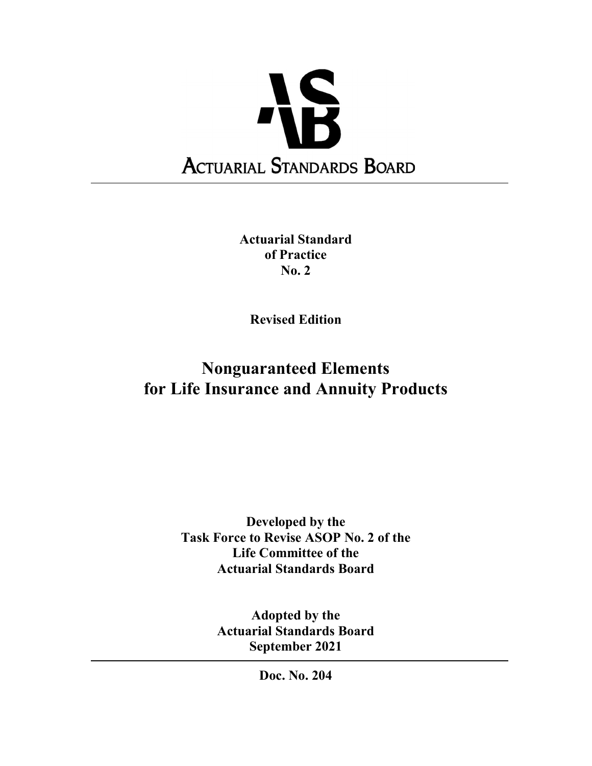

Actuarial Standard of Practice No. 2

Revised Edition

# Nonguaranteed Elements for Life Insurance and Annuity Products

Developed by the Task Force to Revise ASOP No. 2 of the Life Committee of the Actuarial Standards Board

> Adopted by the Actuarial Standards Board September 2021

> > Doc. No. 204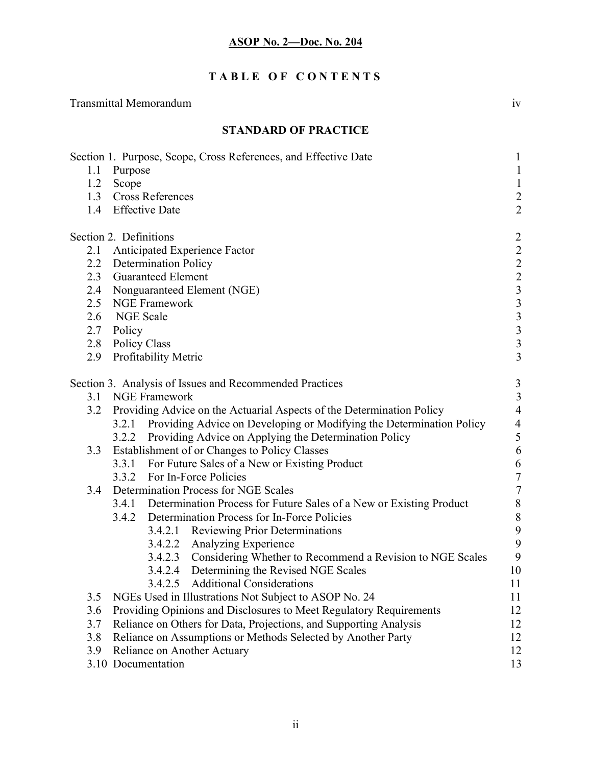# TABLE OF CONTENTS

Transmittal Memorandum iv

|     | <b>STANDARD OF PRACTICE</b>                                                |                              |
|-----|----------------------------------------------------------------------------|------------------------------|
| 1.1 | Section 1. Purpose, Scope, Cross References, and Effective Date<br>Purpose | $\mathbf{1}$<br>$\mathbf{1}$ |
|     | 1.2 Scope                                                                  | $\mathbf{1}$                 |
|     | 1.3 Cross References                                                       | $\frac{2}{2}$                |
|     | 1.4 Effective Date                                                         |                              |
|     | Section 2. Definitions                                                     |                              |
| 2.1 | <b>Anticipated Experience Factor</b>                                       |                              |
|     | 2.2 Determination Policy                                                   |                              |
|     | 2.3 Guaranteed Element                                                     |                              |
|     | 2.4 Nonguaranteed Element (NGE)                                            |                              |
|     | 2.5 NGE Framework                                                          |                              |
|     | 2.6 NGE Scale                                                              |                              |
|     | 2.7 Policy                                                                 |                              |
|     | 2.8 Policy Class                                                           |                              |
| 2.9 | <b>Profitability Metric</b>                                                |                              |
|     | Section 3. Analysis of Issues and Recommended Practices                    | $\mathfrak{Z}$               |
| 3.1 | <b>NGE Framework</b>                                                       | $\mathfrak{Z}$               |
| 3.2 | Providing Advice on the Actuarial Aspects of the Determination Policy      | $\overline{4}$               |
|     | 3.2.1 Providing Advice on Developing or Modifying the Determination Policy |                              |
|     | Providing Advice on Applying the Determination Policy<br>3.2.2             | $\frac{4}{5}$                |
| 3.3 | Establishment of or Changes to Policy Classes                              | $\sqrt{6}$                   |
|     | 3.3.1 For Future Sales of a New or Existing Product                        | 6                            |
|     | For In-Force Policies<br>3.3.2                                             | $\overline{7}$               |
| 3.4 | Determination Process for NGE Scales                                       | $\overline{7}$               |
|     | 3.4.1 Determination Process for Future Sales of a New or Existing Product  | $\,8\,$                      |
|     | Determination Process for In-Force Policies<br>3.4.2                       | 8                            |
|     | 3.4.2.1 Reviewing Prior Determinations                                     | 9                            |
|     | 3.4.2.2 Analyzing Experience                                               | 9                            |
|     | Considering Whether to Recommend a Revision to NGE Scales<br>3.4.2.3       | 9                            |
|     | 3.4.2.4<br>Determining the Revised NGE Scales                              | 10                           |
|     | <b>Additional Considerations</b><br>3.4.2.5                                | 11                           |
| 3.5 | NGEs Used in Illustrations Not Subject to ASOP No. 24                      | 11                           |
| 3.6 | Providing Opinions and Disclosures to Meet Regulatory Requirements         | 12                           |
| 3.7 | Reliance on Others for Data, Projections, and Supporting Analysis          | 12                           |
| 3.8 | Reliance on Assumptions or Methods Selected by Another Party               | 12                           |
| 3.9 | Reliance on Another Actuary                                                | 12                           |
|     | 3.10 Documentation                                                         | 13                           |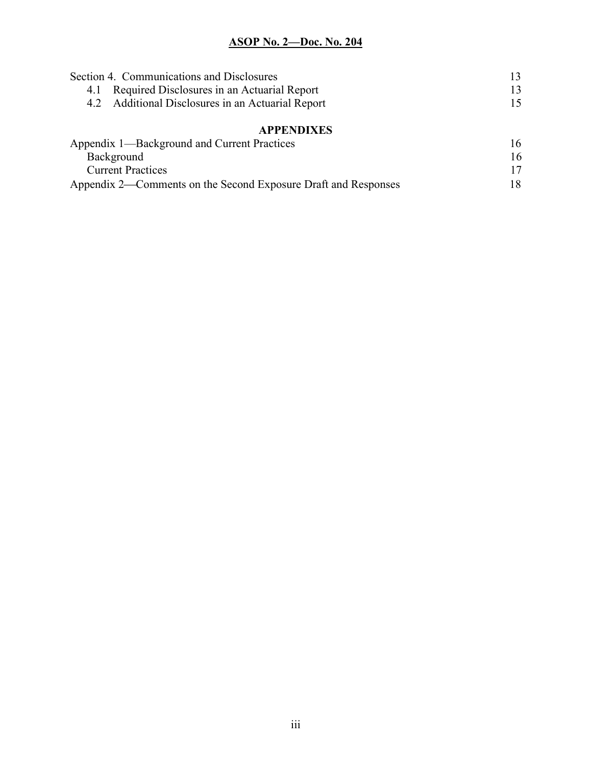| Section 4. Communications and Disclosures                      |    |
|----------------------------------------------------------------|----|
| Required Disclosures in an Actuarial Report<br>4.1             | 13 |
| 4.2 Additional Disclosures in an Actuarial Report              | 15 |
| <b>APPENDIXES</b>                                              |    |
| Appendix 1—Background and Current Practices                    | 16 |
| Background                                                     |    |
| <b>Current Practices</b>                                       |    |
| Appendix 2—Comments on the Second Exposure Draft and Responses |    |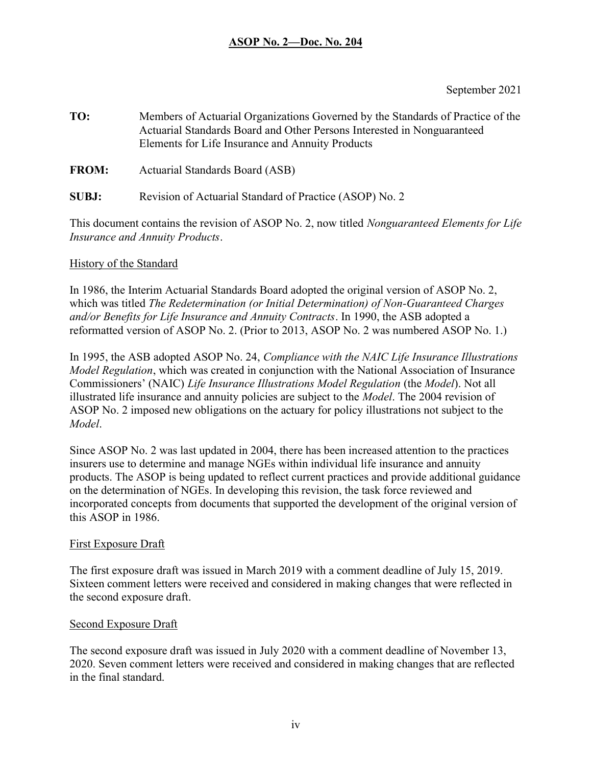September 2021

TO: Members of Actuarial Organizations Governed by the Standards of Practice of the Actuarial Standards Board and Other Persons Interested in Nonguaranteed Elements for Life Insurance and Annuity Products

FROM: Actuarial Standards Board (ASB)

SUBJ: Revision of Actuarial Standard of Practice (ASOP) No. 2

This document contains the revision of ASOP No. 2, now titled *Nonguaranteed Elements for Life* Insurance and Annuity Products.

## History of the Standard

In 1986, the Interim Actuarial Standards Board adopted the original version of ASOP No. 2, which was titled The Redetermination (or Initial Determination) of Non-Guaranteed Charges and/or Benefits for Life Insurance and Annuity Contracts. In 1990, the ASB adopted a reformatted version of ASOP No. 2. (Prior to 2013, ASOP No. 2 was numbered ASOP No. 1.)

In 1995, the ASB adopted ASOP No. 24, Compliance with the NAIC Life Insurance Illustrations Model Regulation, which was created in conjunction with the National Association of Insurance Commissioners' (NAIC) Life Insurance Illustrations Model Regulation (the Model). Not all illustrated life insurance and annuity policies are subject to the Model. The 2004 revision of ASOP No. 2 imposed new obligations on the actuary for policy illustrations not subject to the Model.

Since ASOP No. 2 was last updated in 2004, there has been increased attention to the practices insurers use to determine and manage NGEs within individual life insurance and annuity products. The ASOP is being updated to reflect current practices and provide additional guidance on the determination of NGEs. In developing this revision, the task force reviewed and incorporated concepts from documents that supported the development of the original version of this ASOP in 1986.

## First Exposure Draft

The first exposure draft was issued in March 2019 with a comment deadline of July 15, 2019. Sixteen comment letters were received and considered in making changes that were reflected in the second exposure draft.

## Second Exposure Draft

The second exposure draft was issued in July 2020 with a comment deadline of November 13, 2020. Seven comment letters were received and considered in making changes that are reflected in the final standard.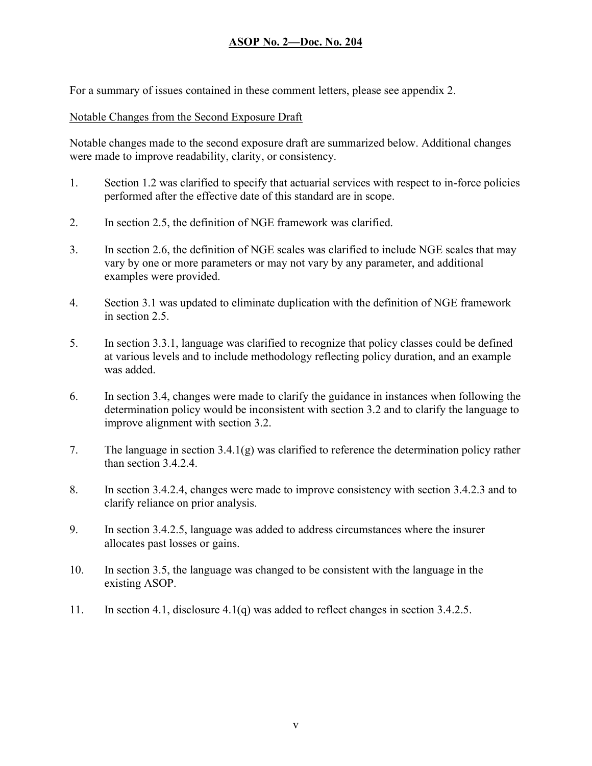For a summary of issues contained in these comment letters, please see appendix 2.

#### Notable Changes from the Second Exposure Draft

Notable changes made to the second exposure draft are summarized below. Additional changes were made to improve readability, clarity, or consistency.

- 1. Section 1.2 was clarified to specify that actuarial services with respect to in-force policies performed after the effective date of this standard are in scope.
- 2. In section 2.5, the definition of NGE framework was clarified.
- 3. In section 2.6, the definition of NGE scales was clarified to include NGE scales that may vary by one or more parameters or may not vary by any parameter, and additional examples were provided.
- 4. Section 3.1 was updated to eliminate duplication with the definition of NGE framework in section 2.5.
- 5. In section 3.3.1, language was clarified to recognize that policy classes could be defined at various levels and to include methodology reflecting policy duration, and an example was added.
- 6. In section 3.4, changes were made to clarify the guidance in instances when following the determination policy would be inconsistent with section 3.2 and to clarify the language to improve alignment with section 3.2.
- 7. The language in section 3.4.1(g) was clarified to reference the determination policy rather than section 3.4.2.4.
- 8. In section 3.4.2.4, changes were made to improve consistency with section 3.4.2.3 and to clarify reliance on prior analysis.
- 9. In section 3.4.2.5, language was added to address circumstances where the insurer allocates past losses or gains.
- 10. In section 3.5, the language was changed to be consistent with the language in the existing ASOP.
- 11. In section 4.1, disclosure 4.1(q) was added to reflect changes in section 3.4.2.5.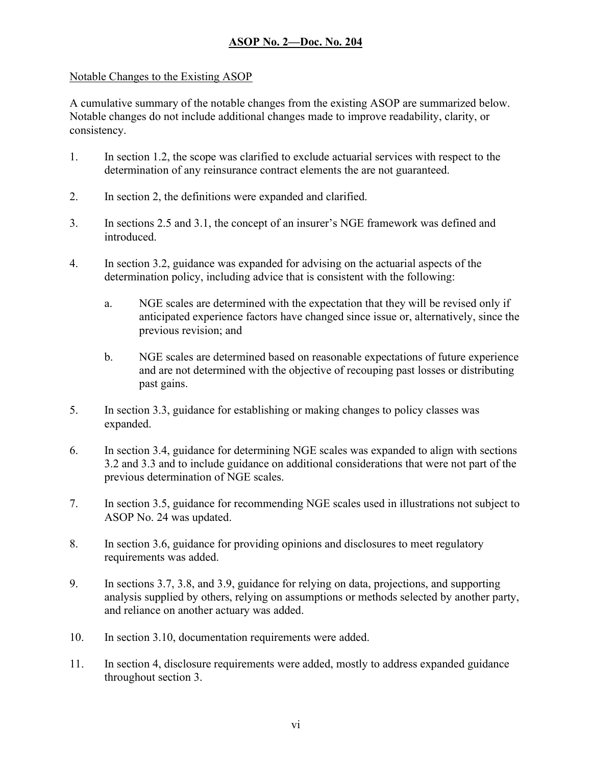## Notable Changes to the Existing ASOP

A cumulative summary of the notable changes from the existing ASOP are summarized below. Notable changes do not include additional changes made to improve readability, clarity, or consistency.

- 1. In section 1.2, the scope was clarified to exclude actuarial services with respect to the determination of any reinsurance contract elements the are not guaranteed.
- 2. In section 2, the definitions were expanded and clarified.
- 3. In sections 2.5 and 3.1, the concept of an insurer's NGE framework was defined and introduced.
- 4. In section 3.2, guidance was expanded for advising on the actuarial aspects of the determination policy, including advice that is consistent with the following:
	- a. NGE scales are determined with the expectation that they will be revised only if anticipated experience factors have changed since issue or, alternatively, since the previous revision; and
	- b. NGE scales are determined based on reasonable expectations of future experience and are not determined with the objective of recouping past losses or distributing past gains.
- 5. In section 3.3, guidance for establishing or making changes to policy classes was expanded.
- 6. In section 3.4, guidance for determining NGE scales was expanded to align with sections 3.2 and 3.3 and to include guidance on additional considerations that were not part of the previous determination of NGE scales.
- 7. In section 3.5, guidance for recommending NGE scales used in illustrations not subject to ASOP No. 24 was updated.
- 8. In section 3.6, guidance for providing opinions and disclosures to meet regulatory requirements was added.
- 9. In sections 3.7, 3.8, and 3.9, guidance for relying on data, projections, and supporting analysis supplied by others, relying on assumptions or methods selected by another party, and reliance on another actuary was added.
- 10. In section 3.10, documentation requirements were added.
- 11. In section 4, disclosure requirements were added, mostly to address expanded guidance throughout section 3.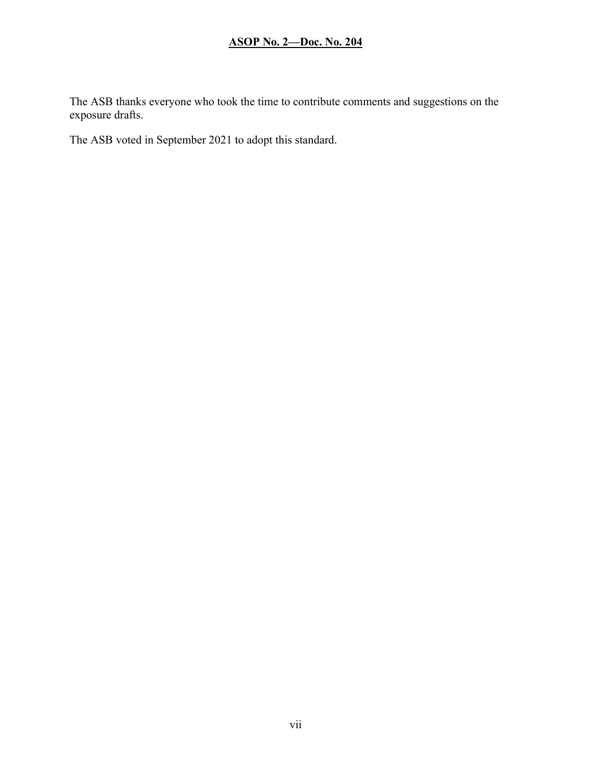The ASB thanks everyone who took the time to contribute comments and suggestions on the exposure drafts.

The ASB voted in September 2021 to adopt this standard.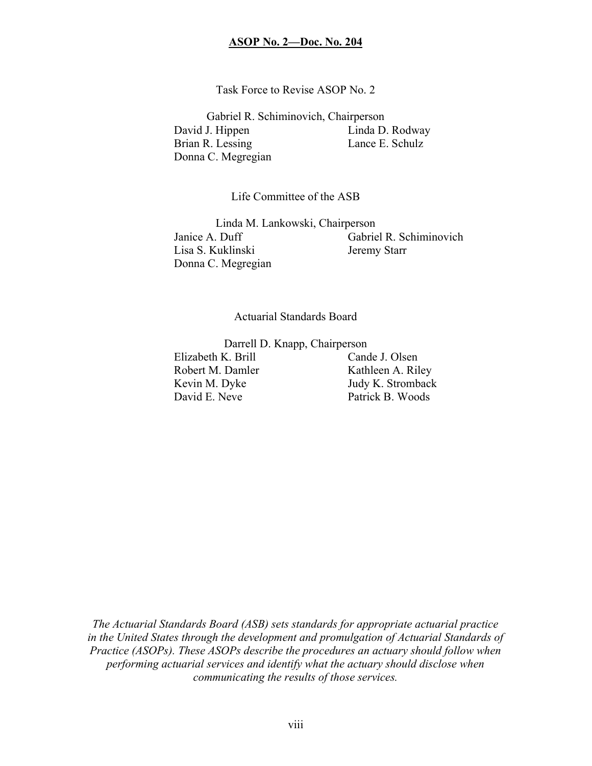Task Force to Revise ASOP No. 2

Gabriel R. Schiminovich, Chairperson David J. Hippen Linda D. Rodway Brian R. Lessing Lance E. Schulz Donna C. Megregian

Life Committee of the ASB

Linda M. Lankowski, Chairperson Janice A. Duff Gabriel R. Schiminovich Lisa S. Kuklinski Jeremy Starr Donna C. Megregian

Actuarial Standards Board

Darrell D. Knapp, Chairperson

Elizabeth K. Brill Cande J. Olsen Robert M. Damler Kathleen A. Riley David E. Neve Patrick B. Woods

Kevin M. Dyke Judy K. Stromback

The Actuarial Standards Board (ASB) sets standards for appropriate actuarial practice in the United States through the development and promulgation of Actuarial Standards of Practice (ASOPs). These ASOPs describe the procedures an actuary should follow when performing actuarial services and identify what the actuary should disclose when communicating the results of those services.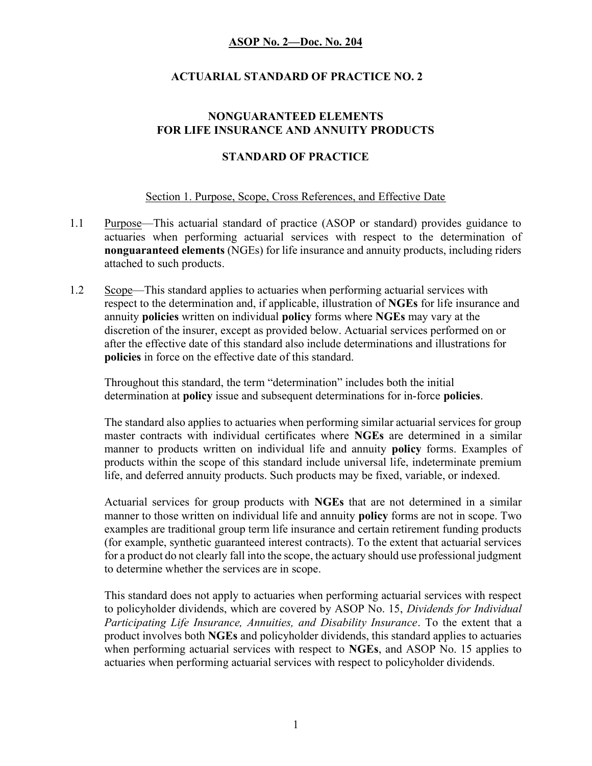## ACTUARIAL STANDARD OF PRACTICE NO. 2

#### NONGUARANTEED ELEMENTS FOR LIFE INSURANCE AND ANNUITY PRODUCTS

#### STANDARD OF PRACTICE

#### Section 1. Purpose, Scope, Cross References, and Effective Date

- 1.1 Purpose—This actuarial standard of practice (ASOP or standard) provides guidance to actuaries when performing actuarial services with respect to the determination of nonguaranteed elements (NGEs) for life insurance and annuity products, including riders attached to such products.
- 1.2 Scope—This standard applies to actuaries when performing actuarial services with respect to the determination and, if applicable, illustration of NGEs for life insurance and annuity policies written on individual policy forms where NGEs may vary at the discretion of the insurer, except as provided below. Actuarial services performed on or after the effective date of this standard also include determinations and illustrations for policies in force on the effective date of this standard.

Throughout this standard, the term "determination" includes both the initial determination at **policy** issue and subsequent determinations for in-force **policies**.

The standard also applies to actuaries when performing similar actuarial services for group master contracts with individual certificates where NGEs are determined in a similar manner to products written on individual life and annuity policy forms. Examples of products within the scope of this standard include universal life, indeterminate premium life, and deferred annuity products. Such products may be fixed, variable, or indexed.

Actuarial services for group products with NGEs that are not determined in a similar manner to those written on individual life and annuity **policy** forms are not in scope. Two examples are traditional group term life insurance and certain retirement funding products (for example, synthetic guaranteed interest contracts). To the extent that actuarial services for a product do not clearly fall into the scope, the actuary should use professional judgment to determine whether the services are in scope.

This standard does not apply to actuaries when performing actuarial services with respect to policyholder dividends, which are covered by ASOP No. 15, Dividends for Individual Participating Life Insurance, Annuities, and Disability Insurance. To the extent that a product involves both NGEs and policyholder dividends, this standard applies to actuaries when performing actuarial services with respect to NGEs, and ASOP No. 15 applies to actuaries when performing actuarial services with respect to policyholder dividends.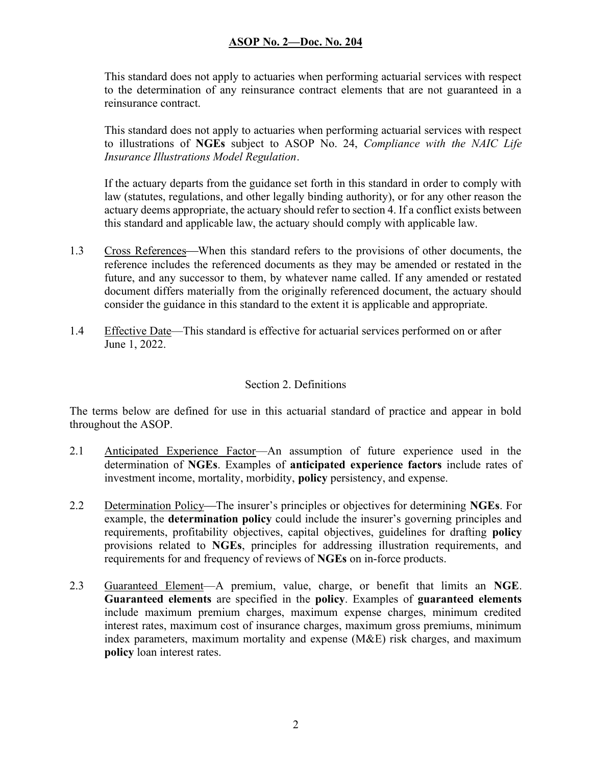This standard does not apply to actuaries when performing actuarial services with respect to the determination of any reinsurance contract elements that are not guaranteed in a reinsurance contract.

This standard does not apply to actuaries when performing actuarial services with respect to illustrations of NGEs subject to ASOP No. 24, Compliance with the NAIC Life Insurance Illustrations Model Regulation.

If the actuary departs from the guidance set forth in this standard in order to comply with law (statutes, regulations, and other legally binding authority), or for any other reason the actuary deems appropriate, the actuary should refer to section 4. If a conflict exists between this standard and applicable law, the actuary should comply with applicable law.

- 1.3 Cross References—When this standard refers to the provisions of other documents, the reference includes the referenced documents as they may be amended or restated in the future, and any successor to them, by whatever name called. If any amended or restated document differs materially from the originally referenced document, the actuary should consider the guidance in this standard to the extent it is applicable and appropriate.
- 1.4 Effective Date—This standard is effective for actuarial services performed on or after June 1, 2022.

## Section 2. Definitions

The terms below are defined for use in this actuarial standard of practice and appear in bold throughout the ASOP.

- 2.1 Anticipated Experience Factor—An assumption of future experience used in the determination of NGEs. Examples of anticipated experience factors include rates of investment income, mortality, morbidity, policy persistency, and expense.
- 2.2 Determination Policy—The insurer's principles or objectives for determining NGEs. For example, the determination policy could include the insurer's governing principles and requirements, profitability objectives, capital objectives, guidelines for drafting **policy** provisions related to NGEs, principles for addressing illustration requirements, and requirements for and frequency of reviews of NGEs on in-force products.
- 2.3 Guaranteed Element—A premium, value, charge, or benefit that limits an NGE. Guaranteed elements are specified in the policy. Examples of guaranteed elements include maximum premium charges, maximum expense charges, minimum credited interest rates, maximum cost of insurance charges, maximum gross premiums, minimum index parameters, maximum mortality and expense (M&E) risk charges, and maximum policy loan interest rates.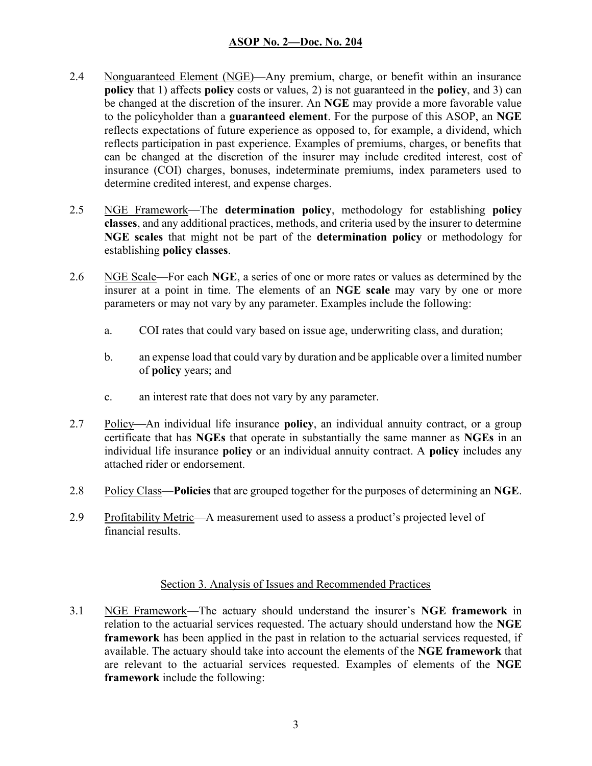- 2.4 Nonguaranteed Element (NGE)—Any premium, charge, or benefit within an insurance policy that 1) affects policy costs or values, 2) is not guaranteed in the policy, and 3) can be changed at the discretion of the insurer. An NGE may provide a more favorable value to the policyholder than a guaranteed element. For the purpose of this ASOP, an NGE reflects expectations of future experience as opposed to, for example, a dividend, which reflects participation in past experience. Examples of premiums, charges, or benefits that can be changed at the discretion of the insurer may include credited interest, cost of insurance (COI) charges, bonuses, indeterminate premiums, index parameters used to determine credited interest, and expense charges.
- 2.5 NGE Framework—The determination policy, methodology for establishing policy classes, and any additional practices, methods, and criteria used by the insurer to determine NGE scales that might not be part of the determination policy or methodology for establishing policy classes.
- 2.6 NGE Scale—For each NGE, a series of one or more rates or values as determined by the insurer at a point in time. The elements of an NGE scale may vary by one or more parameters or may not vary by any parameter. Examples include the following:
	- a. COI rates that could vary based on issue age, underwriting class, and duration;
	- b. an expense load that could vary by duration and be applicable over a limited number of policy years; and
	- c. an interest rate that does not vary by any parameter.
- 2.7 Policy—An individual life insurance **policy**, an individual annuity contract, or a group certificate that has NGEs that operate in substantially the same manner as NGEs in an individual life insurance **policy** or an individual annuity contract. A **policy** includes any attached rider or endorsement.
- 2.8 Policy Class—**Policies** that are grouped together for the purposes of determining an NGE.
- 2.9 Profitability Metric—A measurement used to assess a product's projected level of financial results.

#### Section 3. Analysis of Issues and Recommended Practices

3.1 NGE Framework—The actuary should understand the insurer's NGE framework in relation to the actuarial services requested. The actuary should understand how the NGE framework has been applied in the past in relation to the actuarial services requested, if available. The actuary should take into account the elements of the NGE framework that are relevant to the actuarial services requested. Examples of elements of the NGE framework include the following: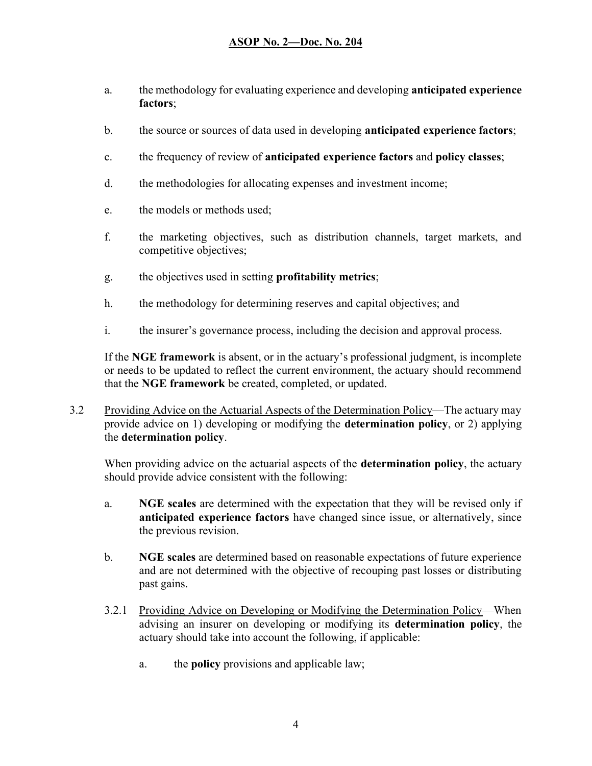- a. the methodology for evaluating experience and developing anticipated experience factors;
- b. the source or sources of data used in developing **anticipated experience factors**;
- c. the frequency of review of anticipated experience factors and policy classes;
- d. the methodologies for allocating expenses and investment income;
- e. the models or methods used;
- f. the marketing objectives, such as distribution channels, target markets, and competitive objectives;
- g. the objectives used in setting profitability metrics;
- h. the methodology for determining reserves and capital objectives; and
- i. the insurer's governance process, including the decision and approval process.

If the NGE framework is absent, or in the actuary's professional judgment, is incomplete or needs to be updated to reflect the current environment, the actuary should recommend that the NGE framework be created, completed, or updated.

3.2 Providing Advice on the Actuarial Aspects of the Determination Policy—The actuary may provide advice on 1) developing or modifying the determination policy, or 2) applying the determination policy.

When providing advice on the actuarial aspects of the **determination policy**, the actuary should provide advice consistent with the following:

- a. NGE scales are determined with the expectation that they will be revised only if anticipated experience factors have changed since issue, or alternatively, since the previous revision.
- b. NGE scales are determined based on reasonable expectations of future experience and are not determined with the objective of recouping past losses or distributing past gains.
- 3.2.1 Providing Advice on Developing or Modifying the Determination Policy—When advising an insurer on developing or modifying its determination policy, the actuary should take into account the following, if applicable:
	- a. the policy provisions and applicable law;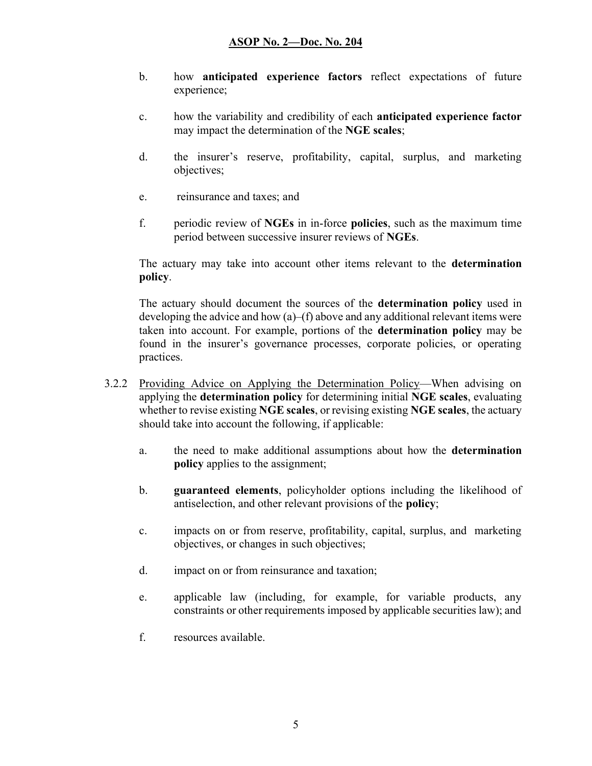- b. how anticipated experience factors reflect expectations of future experience;
- c. how the variability and credibility of each anticipated experience factor may impact the determination of the NGE scales;
- d. the insurer's reserve, profitability, capital, surplus, and marketing objectives;
- e. reinsurance and taxes; and
- f. periodic review of NGEs in in-force policies, such as the maximum time period between successive insurer reviews of NGEs.

The actuary may take into account other items relevant to the determination policy.

The actuary should document the sources of the determination policy used in developing the advice and how  $(a)$ – $(f)$  above and any additional relevant items were taken into account. For example, portions of the determination policy may be found in the insurer's governance processes, corporate policies, or operating practices.

- 3.2.2 Providing Advice on Applying the Determination Policy—When advising on applying the determination policy for determining initial NGE scales, evaluating whether to revise existing NGE scales, or revising existing NGE scales, the actuary should take into account the following, if applicable:
	- a. the need to make additional assumptions about how the determination policy applies to the assignment;
	- b. guaranteed elements, policyholder options including the likelihood of antiselection, and other relevant provisions of the policy;
	- c. impacts on or from reserve, profitability, capital, surplus, and marketing objectives, or changes in such objectives;
	- d. impact on or from reinsurance and taxation;
	- e. applicable law (including, for example, for variable products, any constraints or other requirements imposed by applicable securities law); and
	- f. resources available.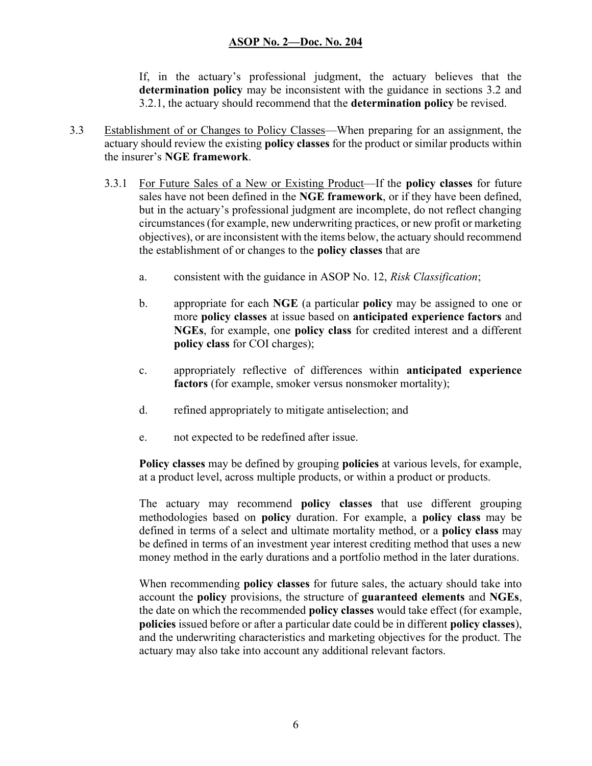If, in the actuary's professional judgment, the actuary believes that the determination policy may be inconsistent with the guidance in sections 3.2 and 3.2.1, the actuary should recommend that the determination policy be revised.

- 3.3 Establishment of or Changes to Policy Classes—When preparing for an assignment, the actuary should review the existing policy classes for the product or similar products within the insurer's NGE framework.
	- 3.3.1 For Future Sales of a New or Existing Product—If the policy classes for future sales have not been defined in the NGE framework, or if they have been defined, but in the actuary's professional judgment are incomplete, do not reflect changing circumstances (for example, new underwriting practices, or new profit or marketing objectives), or are inconsistent with the items below, the actuary should recommend the establishment of or changes to the policy classes that are
		- a. consistent with the guidance in ASOP No. 12, Risk Classification;
		- b. appropriate for each NGE (a particular policy may be assigned to one or more policy classes at issue based on anticipated experience factors and NGEs, for example, one policy class for credited interest and a different policy class for COI charges);
		- c. appropriately reflective of differences within anticipated experience factors (for example, smoker versus nonsmoker mortality);
		- d. refined appropriately to mitigate antiselection; and
		- e. not expected to be redefined after issue.

Policy classes may be defined by grouping policies at various levels, for example, at a product level, across multiple products, or within a product or products.

The actuary may recommend **policy classes** that use different grouping methodologies based on policy duration. For example, a policy class may be defined in terms of a select and ultimate mortality method, or a policy class may be defined in terms of an investment year interest crediting method that uses a new money method in the early durations and a portfolio method in the later durations.

When recommending **policy classes** for future sales, the actuary should take into account the policy provisions, the structure of guaranteed elements and NGEs, the date on which the recommended policy classes would take effect (for example, policies issued before or after a particular date could be in different policy classes), and the underwriting characteristics and marketing objectives for the product. The actuary may also take into account any additional relevant factors.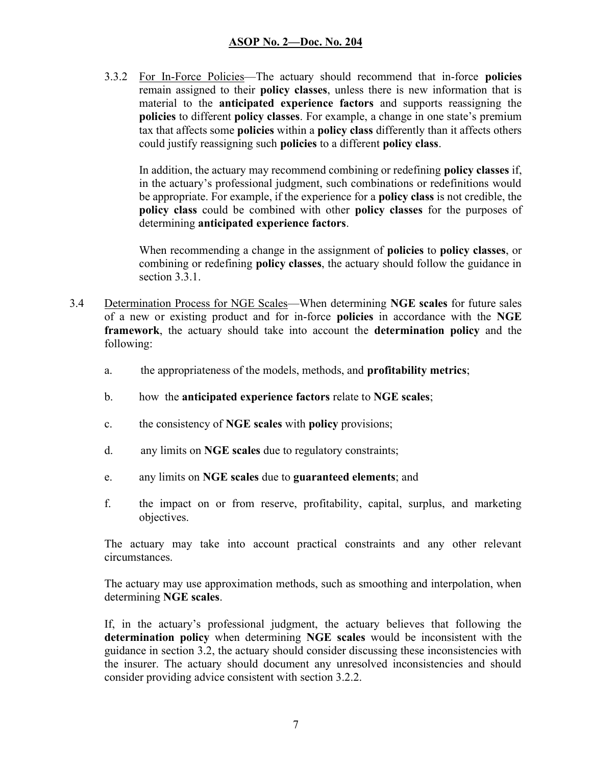3.3.2 For In-Force Policies—The actuary should recommend that in-force policies remain assigned to their policy classes, unless there is new information that is material to the anticipated experience factors and supports reassigning the policies to different policy classes. For example, a change in one state's premium tax that affects some **policies** within a **policy class** differently than it affects others could justify reassigning such policies to a different policy class.

In addition, the actuary may recommend combining or redefining policy classes if, in the actuary's professional judgment, such combinations or redefinitions would be appropriate. For example, if the experience for a policy class is not credible, the policy class could be combined with other policy classes for the purposes of determining anticipated experience factors.

When recommending a change in the assignment of **policies** to **policy classes**, or combining or redefining **policy classes**, the actuary should follow the guidance in section 3.3.1.

- 3.4 Determination Process for NGE Scales—When determining NGE scales for future sales of a new or existing product and for in-force policies in accordance with the NGE framework, the actuary should take into account the determination policy and the following:
	- a. the appropriateness of the models, methods, and profitability metrics;
	- b. how the anticipated experience factors relate to NGE scales;
	- c. the consistency of **NGE** scales with policy provisions;
	- d. any limits on NGE scales due to regulatory constraints;
	- e. any limits on NGE scales due to guaranteed elements; and
	- f. the impact on or from reserve, profitability, capital, surplus, and marketing objectives.

The actuary may take into account practical constraints and any other relevant circumstances.

The actuary may use approximation methods, such as smoothing and interpolation, when determining NGE scales.

If, in the actuary's professional judgment, the actuary believes that following the determination policy when determining NGE scales would be inconsistent with the guidance in section 3.2, the actuary should consider discussing these inconsistencies with the insurer. The actuary should document any unresolved inconsistencies and should consider providing advice consistent with section 3.2.2.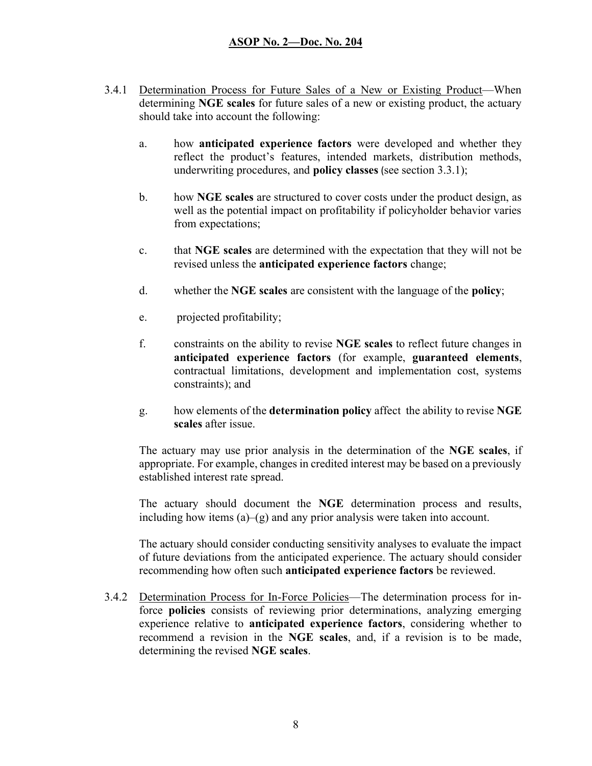- 3.4.1 Determination Process for Future Sales of a New or Existing Product—When determining NGE scales for future sales of a new or existing product, the actuary should take into account the following:
	- a. how anticipated experience factors were developed and whether they reflect the product's features, intended markets, distribution methods, underwriting procedures, and policy classes (see section 3.3.1);
	- b. how NGE scales are structured to cover costs under the product design, as well as the potential impact on profitability if policyholder behavior varies from expectations;
	- c. that NGE scales are determined with the expectation that they will not be revised unless the anticipated experience factors change;
	- d. whether the NGE scales are consistent with the language of the policy;
	- e. projected profitability;
	- f. constraints on the ability to revise NGE scales to reflect future changes in anticipated experience factors (for example, guaranteed elements, contractual limitations, development and implementation cost, systems constraints); and
	- g. how elements of the determination policy affect the ability to revise NGE scales after issue.

The actuary may use prior analysis in the determination of the NGE scales, if appropriate. For example, changes in credited interest may be based on a previously established interest rate spread.

The actuary should document the NGE determination process and results, including how items  $(a)$ – $(g)$  and any prior analysis were taken into account.

The actuary should consider conducting sensitivity analyses to evaluate the impact of future deviations from the anticipated experience. The actuary should consider recommending how often such anticipated experience factors be reviewed.

3.4.2 Determination Process for In-Force Policies—The determination process for inforce policies consists of reviewing prior determinations, analyzing emerging experience relative to anticipated experience factors, considering whether to recommend a revision in the NGE scales, and, if a revision is to be made, determining the revised NGE scales.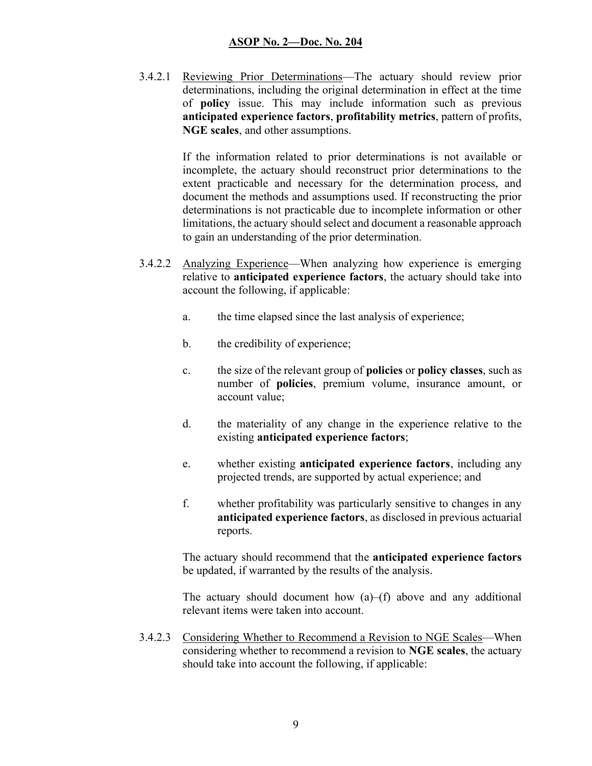3.4.2.1 Reviewing Prior Determinations—The actuary should review prior determinations, including the original determination in effect at the time of policy issue. This may include information such as previous anticipated experience factors, profitability metrics, pattern of profits, NGE scales, and other assumptions.

> If the information related to prior determinations is not available or incomplete, the actuary should reconstruct prior determinations to the extent practicable and necessary for the determination process, and document the methods and assumptions used. If reconstructing the prior determinations is not practicable due to incomplete information or other limitations, the actuary should select and document a reasonable approach to gain an understanding of the prior determination.

- 3.4.2.2 Analyzing Experience—When analyzing how experience is emerging relative to anticipated experience factors, the actuary should take into account the following, if applicable:
	- a. the time elapsed since the last analysis of experience;
	- b. the credibility of experience;
	- c. the size of the relevant group of policies or policy classes, such as number of policies, premium volume, insurance amount, or account value;
	- d. the materiality of any change in the experience relative to the existing anticipated experience factors;
	- e. whether existing anticipated experience factors, including any projected trends, are supported by actual experience; and
	- f. whether profitability was particularly sensitive to changes in any anticipated experience factors, as disclosed in previous actuarial reports.

The actuary should recommend that the anticipated experience factors be updated, if warranted by the results of the analysis.

The actuary should document how  $(a)$ – $(f)$  above and any additional relevant items were taken into account.

3.4.2.3 Considering Whether to Recommend a Revision to NGE Scales—When considering whether to recommend a revision to NGE scales, the actuary should take into account the following, if applicable: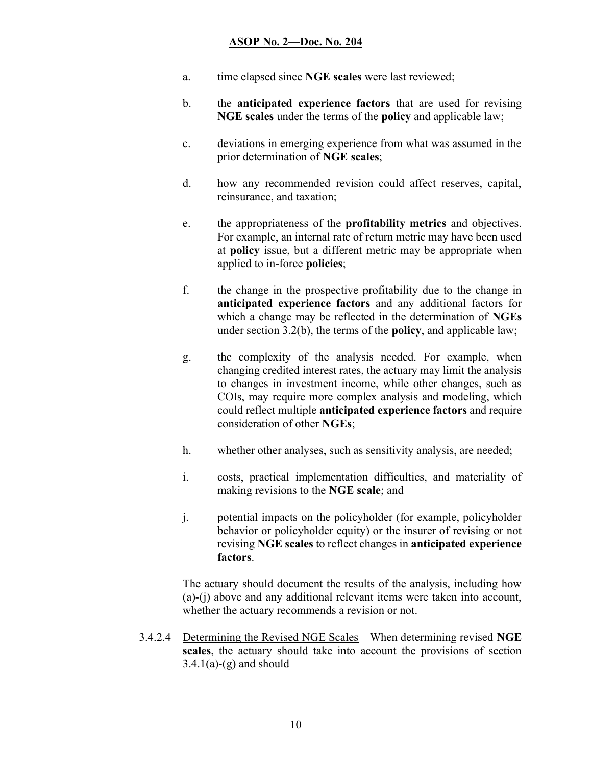- a. time elapsed since NGE scales were last reviewed;
- b. the anticipated experience factors that are used for revising NGE scales under the terms of the policy and applicable law;
- c. deviations in emerging experience from what was assumed in the prior determination of NGE scales;
- d. how any recommended revision could affect reserves, capital, reinsurance, and taxation;
- e. the appropriateness of the profitability metrics and objectives. For example, an internal rate of return metric may have been used at policy issue, but a different metric may be appropriate when applied to in-force policies;
- f. the change in the prospective profitability due to the change in anticipated experience factors and any additional factors for which a change may be reflected in the determination of NGEs under section 3.2(b), the terms of the policy, and applicable law;
- g. the complexity of the analysis needed. For example, when changing credited interest rates, the actuary may limit the analysis to changes in investment income, while other changes, such as COIs, may require more complex analysis and modeling, which could reflect multiple anticipated experience factors and require consideration of other NGEs;
- h. whether other analyses, such as sensitivity analysis, are needed;
- i. costs, practical implementation difficulties, and materiality of making revisions to the NGE scale; and
- j. potential impacts on the policyholder (for example, policyholder behavior or policyholder equity) or the insurer of revising or not revising NGE scales to reflect changes in anticipated experience factors.

The actuary should document the results of the analysis, including how (a)-(j) above and any additional relevant items were taken into account, whether the actuary recommends a revision or not.

3.4.2.4 Determining the Revised NGE Scales—When determining revised NGE scales, the actuary should take into account the provisions of section  $3.4.1(a)-(g)$  and should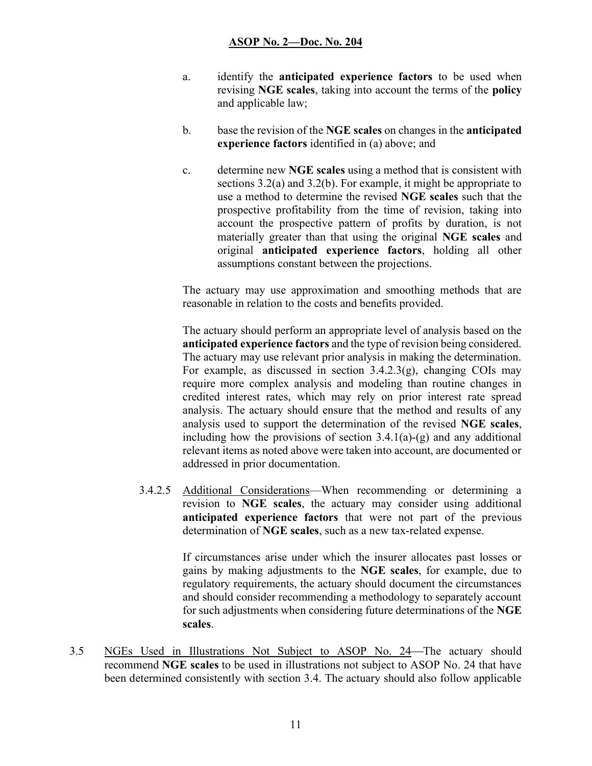- a. identify the anticipated experience factors to be used when revising NGE scales, taking into account the terms of the policy and applicable law;
- b. base the revision of the NGE scales on changes in the anticipated experience factors identified in (a) above; and
- c. determine new NGE scales using a method that is consistent with sections 3.2(a) and 3.2(b). For example, it might be appropriate to use a method to determine the revised NGE scales such that the prospective profitability from the time of revision, taking into account the prospective pattern of profits by duration, is not materially greater than that using the original NGE scales and original anticipated experience factors, holding all other assumptions constant between the projections.

The actuary may use approximation and smoothing methods that are reasonable in relation to the costs and benefits provided.

The actuary should perform an appropriate level of analysis based on the anticipated experience factors and the type of revision being considered. The actuary may use relevant prior analysis in making the determination. For example, as discussed in section  $3.4.2.3(g)$ , changing COIs may require more complex analysis and modeling than routine changes in credited interest rates, which may rely on prior interest rate spread analysis. The actuary should ensure that the method and results of any analysis used to support the determination of the revised NGE scales, including how the provisions of section  $3.4.1(a)-(g)$  and any additional relevant items as noted above were taken into account, are documented or addressed in prior documentation.

3.4.2.5 Additional Considerations—When recommending or determining a revision to NGE scales, the actuary may consider using additional anticipated experience factors that were not part of the previous determination of NGE scales, such as a new tax-related expense.

> If circumstances arise under which the insurer allocates past losses or gains by making adjustments to the NGE scales, for example, due to regulatory requirements, the actuary should document the circumstances and should consider recommending a methodology to separately account for such adjustments when considering future determinations of the NGE scales.

3.5 NGEs Used in Illustrations Not Subject to ASOP No. 24 The actuary should recommend NGE scales to be used in illustrations not subject to ASOP No. 24 that have been determined consistently with section 3.4. The actuary should also follow applicable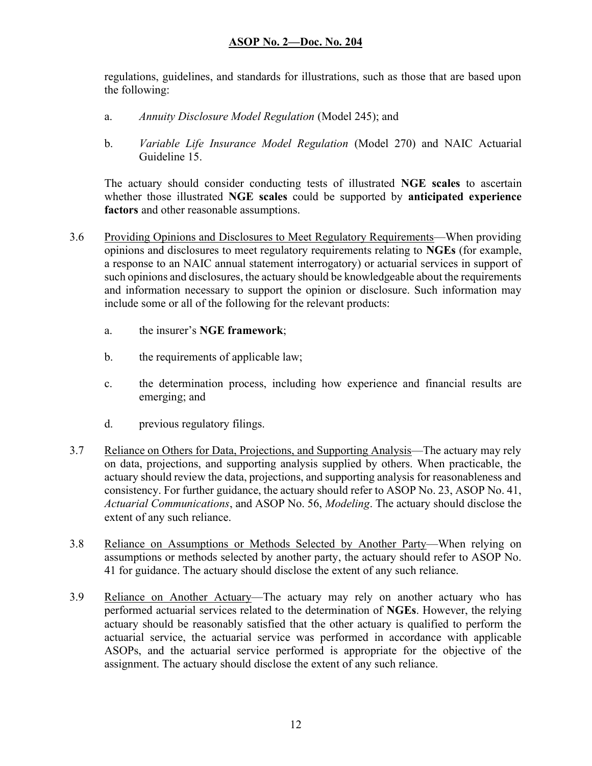regulations, guidelines, and standards for illustrations, such as those that are based upon the following:

- a. Annuity Disclosure Model Regulation (Model 245); and
- b. Variable Life Insurance Model Regulation (Model 270) and NAIC Actuarial Guideline 15.

The actuary should consider conducting tests of illustrated NGE scales to ascertain whether those illustrated NGE scales could be supported by anticipated experience factors and other reasonable assumptions.

- 3.6 Providing Opinions and Disclosures to Meet Regulatory Requirements—When providing opinions and disclosures to meet regulatory requirements relating to NGEs (for example, a response to an NAIC annual statement interrogatory) or actuarial services in support of such opinions and disclosures, the actuary should be knowledgeable about the requirements and information necessary to support the opinion or disclosure. Such information may include some or all of the following for the relevant products:
	- a. the insurer's NGE framework;
	- b. the requirements of applicable law;
	- c. the determination process, including how experience and financial results are emerging; and
	- d. previous regulatory filings.
- 3.7 Reliance on Others for Data, Projections, and Supporting Analysis—The actuary may rely on data, projections, and supporting analysis supplied by others. When practicable, the actuary should review the data, projections, and supporting analysis for reasonableness and consistency. For further guidance, the actuary should refer to ASOP No. 23, ASOP No. 41, Actuarial Communications, and ASOP No. 56, Modeling. The actuary should disclose the extent of any such reliance.
- 3.8 Reliance on Assumptions or Methods Selected by Another Party—When relying on assumptions or methods selected by another party, the actuary should refer to ASOP No. 41 for guidance. The actuary should disclose the extent of any such reliance.
- 3.9 Reliance on Another Actuary—The actuary may rely on another actuary who has performed actuarial services related to the determination of NGEs. However, the relying actuary should be reasonably satisfied that the other actuary is qualified to perform the actuarial service, the actuarial service was performed in accordance with applicable ASOPs, and the actuarial service performed is appropriate for the objective of the assignment. The actuary should disclose the extent of any such reliance.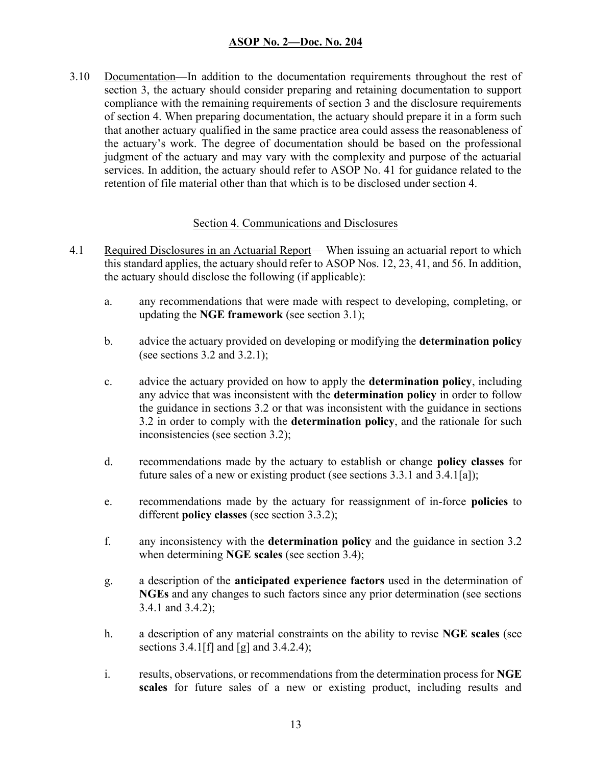3.10 Documentation—In addition to the documentation requirements throughout the rest of section 3, the actuary should consider preparing and retaining documentation to support compliance with the remaining requirements of section 3 and the disclosure requirements of section 4. When preparing documentation, the actuary should prepare it in a form such that another actuary qualified in the same practice area could assess the reasonableness of the actuary's work. The degree of documentation should be based on the professional judgment of the actuary and may vary with the complexity and purpose of the actuarial services. In addition, the actuary should refer to ASOP No. 41 for guidance related to the retention of file material other than that which is to be disclosed under section 4.

#### Section 4. Communications and Disclosures

- 4.1 Required Disclosures in an Actuarial Report— When issuing an actuarial report to which this standard applies, the actuary should refer to ASOP Nos. 12, 23, 41, and 56. In addition, the actuary should disclose the following (if applicable):
	- a. any recommendations that were made with respect to developing, completing, or updating the NGE framework (see section 3.1);
	- b. advice the actuary provided on developing or modifying the determination policy (see sections  $3.2$  and  $3.2.1$ );
	- c. advice the actuary provided on how to apply the determination policy, including any advice that was inconsistent with the **determination policy** in order to follow the guidance in sections 3.2 or that was inconsistent with the guidance in sections 3.2 in order to comply with the **determination policy**, and the rationale for such inconsistencies (see section 3.2);
	- d. recommendations made by the actuary to establish or change policy classes for future sales of a new or existing product (see sections 3.3.1 and 3.4.1[a]);
	- e. recommendations made by the actuary for reassignment of in-force policies to different **policy classes** (see section 3.3.2);
	- f. any inconsistency with the determination policy and the guidance in section 3.2 when determining **NGE** scales (see section 3.4);
	- g. a description of the anticipated experience factors used in the determination of NGEs and any changes to such factors since any prior determination (see sections 3.4.1 and 3.4.2);
	- h. a description of any material constraints on the ability to revise NGE scales (see sections  $3.4.1$  [f] and [g] and  $3.4.2.4$ );
	- i. results, observations, or recommendations from the determination process for NGE scales for future sales of a new or existing product, including results and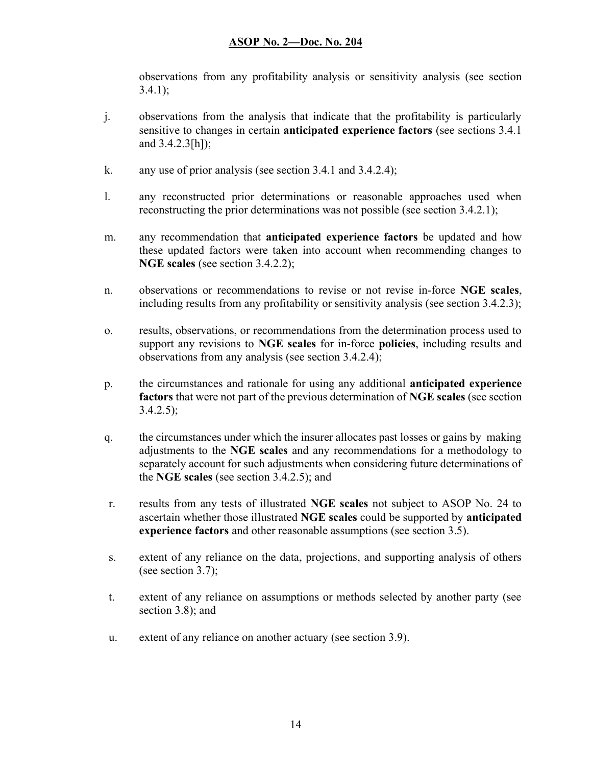observations from any profitability analysis or sensitivity analysis (see section  $3.4.1$ :

- j. observations from the analysis that indicate that the profitability is particularly sensitive to changes in certain **anticipated experience factors** (see sections 3.4.1) and 3.4.2.3[h]);
- k. any use of prior analysis (see section 3.4.1 and 3.4.2.4);
- l. any reconstructed prior determinations or reasonable approaches used when reconstructing the prior determinations was not possible (see section 3.4.2.1);
- m. any recommendation that **anticipated experience factors** be updated and how these updated factors were taken into account when recommending changes to NGE scales (see section 3.4.2.2);
- n. observations or recommendations to revise or not revise in-force NGE scales, including results from any profitability or sensitivity analysis (see section 3.4.2.3);
- o. results, observations, or recommendations from the determination process used to support any revisions to **NGE scales** for in-force **policies**, including results and observations from any analysis (see section 3.4.2.4);
- p. the circumstances and rationale for using any additional anticipated experience factors that were not part of the previous determination of NGE scales (see section  $3.4.2.5$ ;
- q. the circumstances under which the insurer allocates past losses or gains by making adjustments to the NGE scales and any recommendations for a methodology to separately account for such adjustments when considering future determinations of the NGE scales (see section 3.4.2.5); and
- r. results from any tests of illustrated NGE scales not subject to ASOP No. 24 to ascertain whether those illustrated NGE scales could be supported by anticipated experience factors and other reasonable assumptions (see section 3.5).
- s. extent of any reliance on the data, projections, and supporting analysis of others (see section 3.7);
- t. extent of any reliance on assumptions or methods selected by another party (see section 3.8); and
- u. extent of any reliance on another actuary (see section 3.9).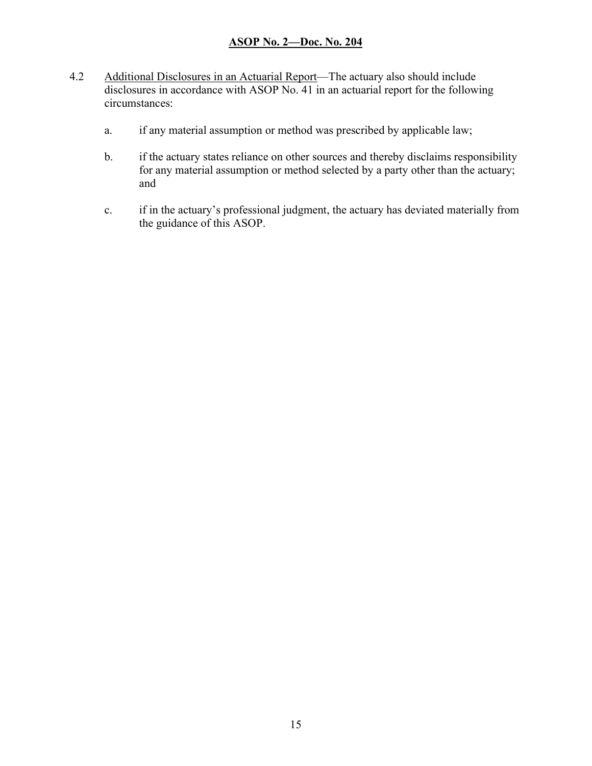- 4.2 Additional Disclosures in an Actuarial Report—The actuary also should include disclosures in accordance with ASOP No. 41 in an actuarial report for the following circumstances:
	- a. if any material assumption or method was prescribed by applicable law;
	- b. if the actuary states reliance on other sources and thereby disclaims responsibility for any material assumption or method selected by a party other than the actuary; and
	- c. if in the actuary's professional judgment, the actuary has deviated materially from the guidance of this ASOP.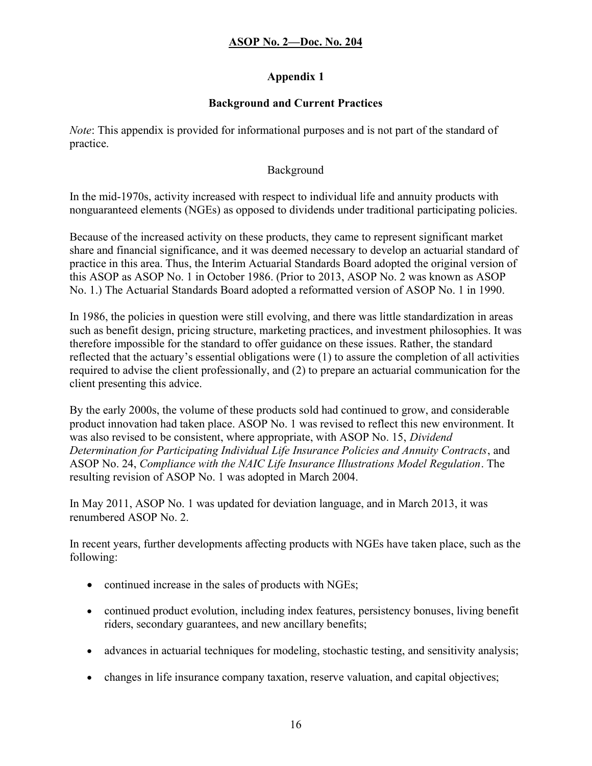## Appendix 1

## Background and Current Practices

Note: This appendix is provided for informational purposes and is not part of the standard of practice.

## Background

In the mid-1970s, activity increased with respect to individual life and annuity products with nonguaranteed elements (NGEs) as opposed to dividends under traditional participating policies.

Because of the increased activity on these products, they came to represent significant market share and financial significance, and it was deemed necessary to develop an actuarial standard of practice in this area. Thus, the Interim Actuarial Standards Board adopted the original version of this ASOP as ASOP No. 1 in October 1986. (Prior to 2013, ASOP No. 2 was known as ASOP No. 1.) The Actuarial Standards Board adopted a reformatted version of ASOP No. 1 in 1990.

In 1986, the policies in question were still evolving, and there was little standardization in areas such as benefit design, pricing structure, marketing practices, and investment philosophies. It was therefore impossible for the standard to offer guidance on these issues. Rather, the standard reflected that the actuary's essential obligations were (1) to assure the completion of all activities required to advise the client professionally, and (2) to prepare an actuarial communication for the client presenting this advice.

By the early 2000s, the volume of these products sold had continued to grow, and considerable product innovation had taken place. ASOP No. 1 was revised to reflect this new environment. It was also revised to be consistent, where appropriate, with ASOP No. 15, *Dividend* Determination for Participating Individual Life Insurance Policies and Annuity Contracts, and ASOP No. 24, Compliance with the NAIC Life Insurance Illustrations Model Regulation. The resulting revision of ASOP No. 1 was adopted in March 2004.

In May 2011, ASOP No. 1 was updated for deviation language, and in March 2013, it was renumbered ASOP No. 2.

In recent years, further developments affecting products with NGEs have taken place, such as the following:

- continued increase in the sales of products with NGEs;
- continued product evolution, including index features, persistency bonuses, living benefit riders, secondary guarantees, and new ancillary benefits;
- advances in actuarial techniques for modeling, stochastic testing, and sensitivity analysis;
- changes in life insurance company taxation, reserve valuation, and capital objectives;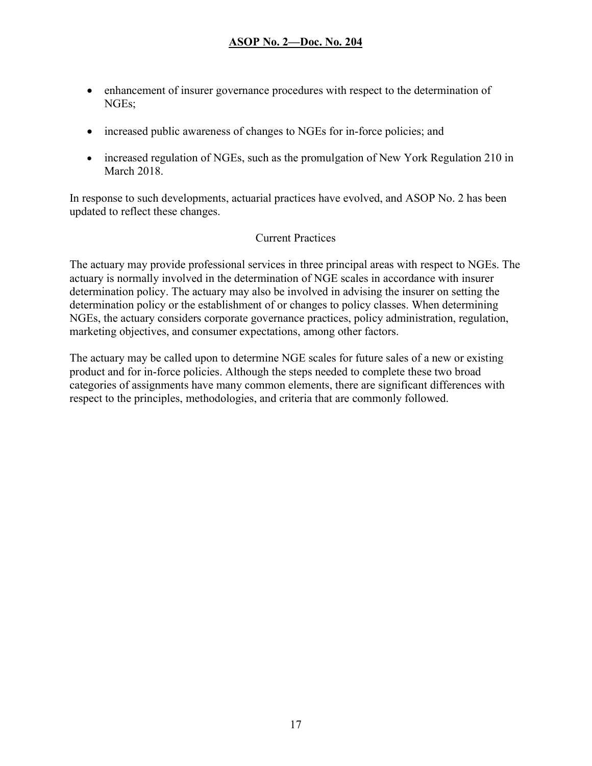- enhancement of insurer governance procedures with respect to the determination of NGEs;
- increased public awareness of changes to NGEs for in-force policies; and
- increased regulation of NGEs, such as the promulgation of New York Regulation 210 in March 2018.

In response to such developments, actuarial practices have evolved, and ASOP No. 2 has been updated to reflect these changes.

#### Current Practices

The actuary may provide professional services in three principal areas with respect to NGEs. The actuary is normally involved in the determination of NGE scales in accordance with insurer determination policy. The actuary may also be involved in advising the insurer on setting the determination policy or the establishment of or changes to policy classes. When determining NGEs, the actuary considers corporate governance practices, policy administration, regulation, marketing objectives, and consumer expectations, among other factors.

The actuary may be called upon to determine NGE scales for future sales of a new or existing product and for in-force policies. Although the steps needed to complete these two broad categories of assignments have many common elements, there are significant differences with respect to the principles, methodologies, and criteria that are commonly followed.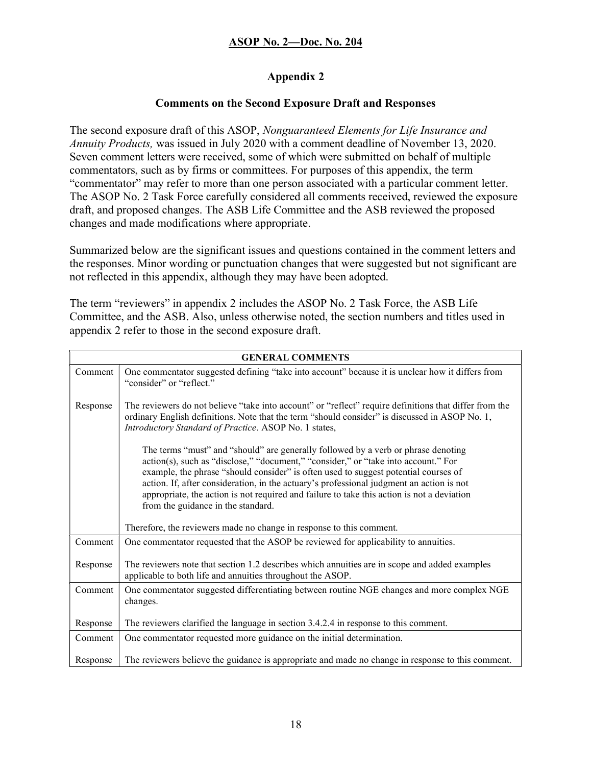## Appendix 2

## Comments on the Second Exposure Draft and Responses

The second exposure draft of this ASOP, Nonguaranteed Elements for Life Insurance and Annuity Products, was issued in July 2020 with a comment deadline of November 13, 2020. Seven comment letters were received, some of which were submitted on behalf of multiple commentators, such as by firms or committees. For purposes of this appendix, the term "commentator" may refer to more than one person associated with a particular comment letter. The ASOP No. 2 Task Force carefully considered all comments received, reviewed the exposure draft, and proposed changes. The ASB Life Committee and the ASB reviewed the proposed changes and made modifications where appropriate.

Summarized below are the significant issues and questions contained in the comment letters and the responses. Minor wording or punctuation changes that were suggested but not significant are not reflected in this appendix, although they may have been adopted.

The term "reviewers" in appendix 2 includes the ASOP No. 2 Task Force, the ASB Life Committee, and the ASB. Also, unless otherwise noted, the section numbers and titles used in appendix 2 refer to those in the second exposure draft.

| <b>GENERAL COMMENTS</b> |                                                                                                                                                                                                                                                                                                                                                                                                                                                                                                |
|-------------------------|------------------------------------------------------------------------------------------------------------------------------------------------------------------------------------------------------------------------------------------------------------------------------------------------------------------------------------------------------------------------------------------------------------------------------------------------------------------------------------------------|
| Comment                 | One commentator suggested defining "take into account" because it is unclear how it differs from<br>"consider" or "reflect."                                                                                                                                                                                                                                                                                                                                                                   |
| Response                | The reviewers do not believe "take into account" or "reflect" require definitions that differ from the<br>ordinary English definitions. Note that the term "should consider" is discussed in ASOP No. 1,<br>Introductory Standard of Practice. ASOP No. 1 states,                                                                                                                                                                                                                              |
|                         | The terms "must" and "should" are generally followed by a verb or phrase denoting<br>action(s), such as "disclose," "document," "consider," or "take into account." For<br>example, the phrase "should consider" is often used to suggest potential courses of<br>action. If, after consideration, in the actuary's professional judgment an action is not<br>appropriate, the action is not required and failure to take this action is not a deviation<br>from the guidance in the standard. |
|                         | Therefore, the reviewers made no change in response to this comment.                                                                                                                                                                                                                                                                                                                                                                                                                           |
| Comment                 | One commentator requested that the ASOP be reviewed for applicability to annuities.                                                                                                                                                                                                                                                                                                                                                                                                            |
| Response                | The reviewers note that section 1.2 describes which annuities are in scope and added examples<br>applicable to both life and annuities throughout the ASOP.                                                                                                                                                                                                                                                                                                                                    |
| Comment                 | One commentator suggested differentiating between routine NGE changes and more complex NGE<br>changes.                                                                                                                                                                                                                                                                                                                                                                                         |
| Response                | The reviewers clarified the language in section 3.4.2.4 in response to this comment.                                                                                                                                                                                                                                                                                                                                                                                                           |
| Comment                 | One commentator requested more guidance on the initial determination.                                                                                                                                                                                                                                                                                                                                                                                                                          |
| Response                | The reviewers believe the guidance is appropriate and made no change in response to this comment.                                                                                                                                                                                                                                                                                                                                                                                              |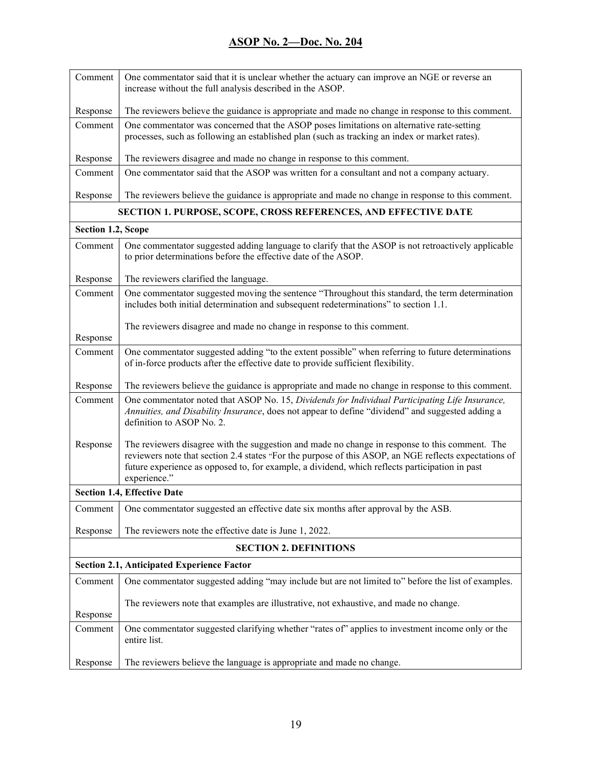| Comment                            | One commentator said that it is unclear whether the actuary can improve an NGE or reverse an<br>increase without the full analysis described in the ASOP.                                                                                                                                                                 |
|------------------------------------|---------------------------------------------------------------------------------------------------------------------------------------------------------------------------------------------------------------------------------------------------------------------------------------------------------------------------|
| Response                           | The reviewers believe the guidance is appropriate and made no change in response to this comment.                                                                                                                                                                                                                         |
| Comment                            | One commentator was concerned that the ASOP poses limitations on alternative rate-setting<br>processes, such as following an established plan (such as tracking an index or market rates).                                                                                                                                |
| Response                           | The reviewers disagree and made no change in response to this comment.                                                                                                                                                                                                                                                    |
| Comment                            | One commentator said that the ASOP was written for a consultant and not a company actuary.                                                                                                                                                                                                                                |
| Response                           | The reviewers believe the guidance is appropriate and made no change in response to this comment.                                                                                                                                                                                                                         |
|                                    | <b>SECTION 1. PURPOSE, SCOPE, CROSS REFERENCES, AND EFFECTIVE DATE</b>                                                                                                                                                                                                                                                    |
| Section 1.2, Scope                 |                                                                                                                                                                                                                                                                                                                           |
| Comment                            | One commentator suggested adding language to clarify that the ASOP is not retroactively applicable<br>to prior determinations before the effective date of the ASOP.                                                                                                                                                      |
| Response                           | The reviewers clarified the language.                                                                                                                                                                                                                                                                                     |
| Comment                            | One commentator suggested moving the sentence "Throughout this standard, the term determination<br>includes both initial determination and subsequent redeterminations" to section 1.1.                                                                                                                                   |
| Response                           | The reviewers disagree and made no change in response to this comment.                                                                                                                                                                                                                                                    |
| Comment                            | One commentator suggested adding "to the extent possible" when referring to future determinations<br>of in-force products after the effective date to provide sufficient flexibility.                                                                                                                                     |
| Response                           | The reviewers believe the guidance is appropriate and made no change in response to this comment.                                                                                                                                                                                                                         |
| Comment                            | One commentator noted that ASOP No. 15, Dividends for Individual Participating Life Insurance,<br>Annuities, and Disability Insurance, does not appear to define "dividend" and suggested adding a<br>definition to ASOP No. 2.                                                                                           |
| Response                           | The reviewers disagree with the suggestion and made no change in response to this comment. The<br>reviewers note that section 2.4 states "For the purpose of this ASOP, an NGE reflects expectations of<br>future experience as opposed to, for example, a dividend, which reflects participation in past<br>experience." |
| <b>Section 1.4, Effective Date</b> |                                                                                                                                                                                                                                                                                                                           |
| Comment                            | One commentator suggested an effective date six months after approval by the ASB.                                                                                                                                                                                                                                         |
| Response                           | The reviewers note the effective date is June 1, 2022.                                                                                                                                                                                                                                                                    |
| <b>SECTION 2. DEFINITIONS</b>      |                                                                                                                                                                                                                                                                                                                           |
|                                    | <b>Section 2.1, Anticipated Experience Factor</b>                                                                                                                                                                                                                                                                         |
| Comment                            | One commentator suggested adding "may include but are not limited to" before the list of examples.                                                                                                                                                                                                                        |
| Response                           | The reviewers note that examples are illustrative, not exhaustive, and made no change.                                                                                                                                                                                                                                    |
| Comment                            | One commentator suggested clarifying whether "rates of" applies to investment income only or the<br>entire list.                                                                                                                                                                                                          |
| Response                           | The reviewers believe the language is appropriate and made no change.                                                                                                                                                                                                                                                     |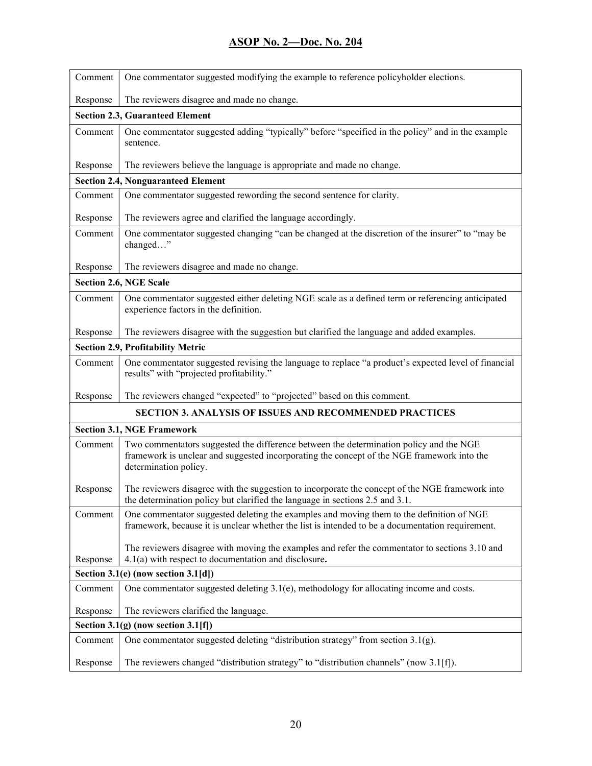| Comment                                    | One commentator suggested modifying the example to reference policyholder elections.                                                                                                                          |
|--------------------------------------------|---------------------------------------------------------------------------------------------------------------------------------------------------------------------------------------------------------------|
| Response                                   | The reviewers disagree and made no change.                                                                                                                                                                    |
| <b>Section 2.3, Guaranteed Element</b>     |                                                                                                                                                                                                               |
| Comment                                    | One commentator suggested adding "typically" before "specified in the policy" and in the example<br>sentence.                                                                                                 |
| Response                                   | The reviewers believe the language is appropriate and made no change.                                                                                                                                         |
|                                            | <b>Section 2.4, Nonguaranteed Element</b>                                                                                                                                                                     |
| Comment                                    | One commentator suggested rewording the second sentence for clarity.                                                                                                                                          |
| Response                                   | The reviewers agree and clarified the language accordingly.                                                                                                                                                   |
| Comment                                    | One commentator suggested changing "can be changed at the discretion of the insurer" to "may be<br>changed"                                                                                                   |
| Response                                   | The reviewers disagree and made no change.                                                                                                                                                                    |
|                                            | <b>Section 2.6, NGE Scale</b>                                                                                                                                                                                 |
| Comment                                    | One commentator suggested either deleting NGE scale as a defined term or referencing anticipated<br>experience factors in the definition.                                                                     |
| Response                                   | The reviewers disagree with the suggestion but clarified the language and added examples.                                                                                                                     |
|                                            | <b>Section 2.9, Profitability Metric</b>                                                                                                                                                                      |
| Comment                                    | One commentator suggested revising the language to replace "a product's expected level of financial<br>results" with "projected profitability."                                                               |
| Response                                   | The reviewers changed "expected" to "projected" based on this comment.                                                                                                                                        |
|                                            | SECTION 3. ANALYSIS OF ISSUES AND RECOMMENDED PRACTICES                                                                                                                                                       |
|                                            | <b>Section 3.1, NGE Framework</b>                                                                                                                                                                             |
| Comment                                    | Two commentators suggested the difference between the determination policy and the NGE<br>framework is unclear and suggested incorporating the concept of the NGE framework into the<br>determination policy. |
| Response                                   | The reviewers disagree with the suggestion to incorporate the concept of the NGE framework into<br>the determination policy but clarified the language in sections 2.5 and 3.1.                               |
| Comment                                    | One commentator suggested deleting the examples and moving them to the definition of NGE<br>framework, because it is unclear whether the list is intended to be a documentation requirement.                  |
| Response                                   | The reviewers disagree with moving the examples and refer the commentator to sections 3.10 and<br>$4.1(a)$ with respect to documentation and disclosure.                                                      |
| Section 3.1(e) (now section 3.1[d])        |                                                                                                                                                                                                               |
| Comment                                    | One commentator suggested deleting 3.1(e), methodology for allocating income and costs.                                                                                                                       |
| Response                                   | The reviewers clarified the language.                                                                                                                                                                         |
| Section 3.1 $(g)$ (now section 3.1 $[f]$ ) |                                                                                                                                                                                                               |
| Comment                                    | One commentator suggested deleting "distribution strategy" from section $3.1(g)$ .                                                                                                                            |
| Response                                   | The reviewers changed "distribution strategy" to "distribution channels" (now 3.1[f]).                                                                                                                        |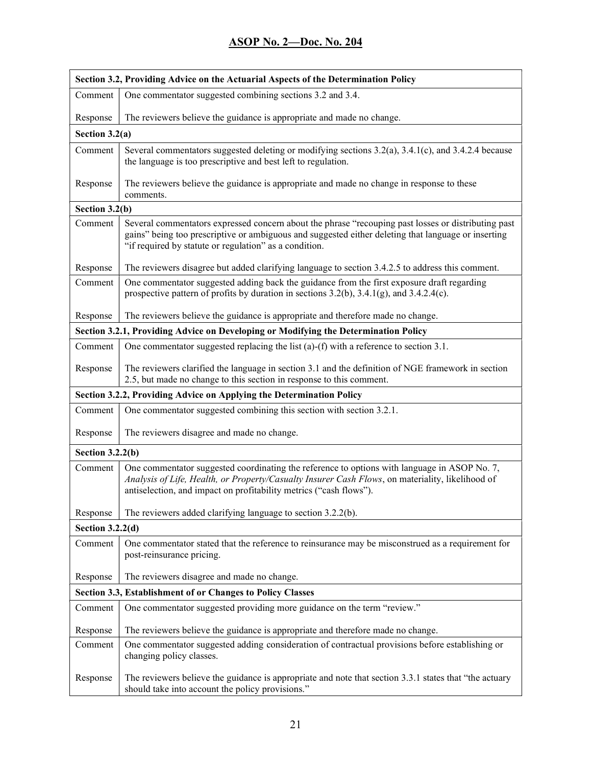| Section 3.2, Providing Advice on the Actuarial Aspects of the Determination Policy |                                                                                                                                                                                                                                                                        |
|------------------------------------------------------------------------------------|------------------------------------------------------------------------------------------------------------------------------------------------------------------------------------------------------------------------------------------------------------------------|
| Comment                                                                            | One commentator suggested combining sections 3.2 and 3.4.                                                                                                                                                                                                              |
| Response                                                                           | The reviewers believe the guidance is appropriate and made no change.                                                                                                                                                                                                  |
| Section $3.2(a)$                                                                   |                                                                                                                                                                                                                                                                        |
| Comment                                                                            | Several commentators suggested deleting or modifying sections 3.2(a), 3.4.1(c), and 3.4.2.4 because<br>the language is too prescriptive and best left to regulation.                                                                                                   |
| Response                                                                           | The reviewers believe the guidance is appropriate and made no change in response to these<br>comments.                                                                                                                                                                 |
| Section 3.2(b)                                                                     |                                                                                                                                                                                                                                                                        |
| Comment                                                                            | Several commentators expressed concern about the phrase "recouping past losses or distributing past<br>gains" being too prescriptive or ambiguous and suggested either deleting that language or inserting<br>"if required by statute or regulation" as a condition.   |
| Response                                                                           | The reviewers disagree but added clarifying language to section 3.4.2.5 to address this comment.                                                                                                                                                                       |
| Comment                                                                            | One commentator suggested adding back the guidance from the first exposure draft regarding<br>prospective pattern of profits by duration in sections $3.2(b)$ , $3.4.1(g)$ , and $3.4.2.4(c)$ .                                                                        |
| Response                                                                           | The reviewers believe the guidance is appropriate and therefore made no change.                                                                                                                                                                                        |
|                                                                                    | Section 3.2.1, Providing Advice on Developing or Modifying the Determination Policy                                                                                                                                                                                    |
| Comment                                                                            | One commentator suggested replacing the list (a)-(f) with a reference to section 3.1.                                                                                                                                                                                  |
| Response                                                                           | The reviewers clarified the language in section 3.1 and the definition of NGE framework in section<br>2.5, but made no change to this section in response to this comment.                                                                                             |
| Section 3.2.2, Providing Advice on Applying the Determination Policy               |                                                                                                                                                                                                                                                                        |
| Comment                                                                            | One commentator suggested combining this section with section 3.2.1.                                                                                                                                                                                                   |
| Response                                                                           | The reviewers disagree and made no change.                                                                                                                                                                                                                             |
| Section $3.2.2(b)$                                                                 |                                                                                                                                                                                                                                                                        |
| Comment                                                                            | One commentator suggested coordinating the reference to options with language in ASOP No. 7,<br>Analysis of Life, Health, or Property/Casualty Insurer Cash Flows, on materiality, likelihood of<br>antiselection, and impact on profitability metrics ("cash flows"). |
| Response                                                                           | The reviewers added clarifying language to section 3.2.2(b).                                                                                                                                                                                                           |
| Section $3.2.2(d)$                                                                 |                                                                                                                                                                                                                                                                        |
| Comment                                                                            | One commentator stated that the reference to reinsurance may be misconstrued as a requirement for<br>post-reinsurance pricing.                                                                                                                                         |
| Response                                                                           | The reviewers disagree and made no change.                                                                                                                                                                                                                             |
| Section 3.3, Establishment of or Changes to Policy Classes                         |                                                                                                                                                                                                                                                                        |
| Comment                                                                            | One commentator suggested providing more guidance on the term "review."                                                                                                                                                                                                |
| Response                                                                           | The reviewers believe the guidance is appropriate and therefore made no change.                                                                                                                                                                                        |
| Comment                                                                            | One commentator suggested adding consideration of contractual provisions before establishing or<br>changing policy classes.                                                                                                                                            |
| Response                                                                           | The reviewers believe the guidance is appropriate and note that section 3.3.1 states that "the actuary<br>should take into account the policy provisions."                                                                                                             |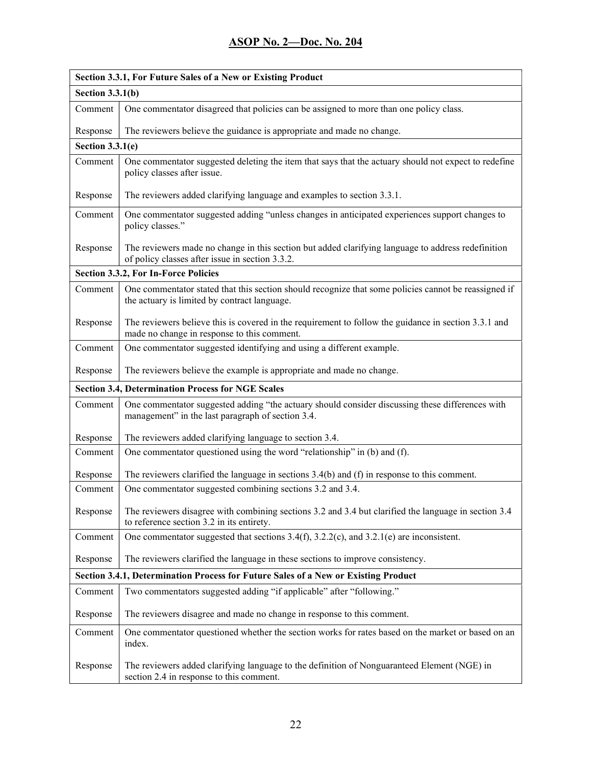| Section 3.3.1, For Future Sales of a New or Existing Product                       |                                                                                                                                                       |
|------------------------------------------------------------------------------------|-------------------------------------------------------------------------------------------------------------------------------------------------------|
| Section $3.3.1(b)$                                                                 |                                                                                                                                                       |
| Comment                                                                            | One commentator disagreed that policies can be assigned to more than one policy class.                                                                |
| Response                                                                           | The reviewers believe the guidance is appropriate and made no change.                                                                                 |
| Section $3.3.1(e)$                                                                 |                                                                                                                                                       |
| Comment                                                                            | One commentator suggested deleting the item that says that the actuary should not expect to redefine<br>policy classes after issue.                   |
| Response                                                                           | The reviewers added clarifying language and examples to section 3.3.1.                                                                                |
| Comment                                                                            | One commentator suggested adding "unless changes in anticipated experiences support changes to<br>policy classes."                                    |
| Response                                                                           | The reviewers made no change in this section but added clarifying language to address redefinition<br>of policy classes after issue in section 3.3.2. |
|                                                                                    | Section 3.3.2, For In-Force Policies                                                                                                                  |
| Comment                                                                            | One commentator stated that this section should recognize that some policies cannot be reassigned if<br>the actuary is limited by contract language.  |
| Response                                                                           | The reviewers believe this is covered in the requirement to follow the guidance in section 3.3.1 and<br>made no change in response to this comment.   |
| Comment                                                                            | One commentator suggested identifying and using a different example.                                                                                  |
| Response                                                                           | The reviewers believe the example is appropriate and made no change.                                                                                  |
|                                                                                    | <b>Section 3.4, Determination Process for NGE Scales</b>                                                                                              |
| Comment                                                                            | One commentator suggested adding "the actuary should consider discussing these differences with<br>management" in the last paragraph of section 3.4.  |
| Response                                                                           | The reviewers added clarifying language to section 3.4.                                                                                               |
| Comment                                                                            | One commentator questioned using the word "relationship" in (b) and (f).                                                                              |
| Response                                                                           | The reviewers clarified the language in sections $3.4(b)$ and (f) in response to this comment.                                                        |
| Comment                                                                            | One commentator suggested combining sections 3.2 and 3.4.                                                                                             |
| Response                                                                           | The reviewers disagree with combining sections 3.2 and 3.4 but clarified the language in section 3.4<br>to reference section 3.2 in its entirety.     |
| Comment                                                                            | One commentator suggested that sections $3.4(f)$ , $3.2.2(c)$ , and $3.2.1(e)$ are inconsistent.                                                      |
| Response                                                                           | The reviewers clarified the language in these sections to improve consistency.                                                                        |
| Section 3.4.1, Determination Process for Future Sales of a New or Existing Product |                                                                                                                                                       |
| Comment                                                                            | Two commentators suggested adding "if applicable" after "following."                                                                                  |
| Response                                                                           | The reviewers disagree and made no change in response to this comment.                                                                                |
| Comment                                                                            | One commentator questioned whether the section works for rates based on the market or based on an<br>index.                                           |
| Response                                                                           | The reviewers added clarifying language to the definition of Nonguaranteed Element (NGE) in<br>section 2.4 in response to this comment.               |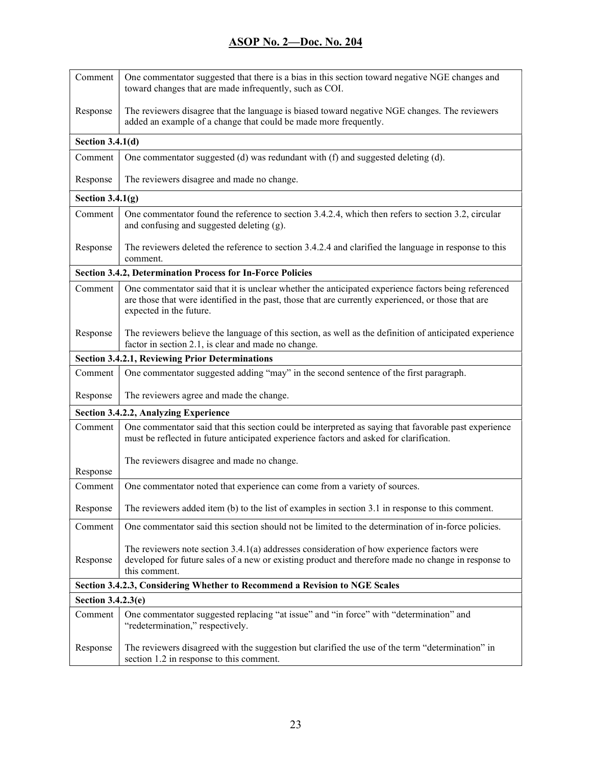| Comment                                                                    | One commentator suggested that there is a bias in this section toward negative NGE changes and<br>toward changes that are made infrequently, such as COI.                                                                             |
|----------------------------------------------------------------------------|---------------------------------------------------------------------------------------------------------------------------------------------------------------------------------------------------------------------------------------|
| Response                                                                   | The reviewers disagree that the language is biased toward negative NGE changes. The reviewers<br>added an example of a change that could be made more frequently.                                                                     |
| Section $3.4.1(d)$                                                         |                                                                                                                                                                                                                                       |
| Comment                                                                    | One commentator suggested (d) was redundant with (f) and suggested deleting (d).                                                                                                                                                      |
| Response                                                                   | The reviewers disagree and made no change.                                                                                                                                                                                            |
| Section $3.4.1(g)$                                                         |                                                                                                                                                                                                                                       |
| Comment                                                                    | One commentator found the reference to section 3.4.2.4, which then refers to section 3.2, circular<br>and confusing and suggested deleting (g).                                                                                       |
| Response                                                                   | The reviewers deleted the reference to section 3.4.2.4 and clarified the language in response to this<br>comment.                                                                                                                     |
|                                                                            | <b>Section 3.4.2, Determination Process for In-Force Policies</b>                                                                                                                                                                     |
| Comment                                                                    | One commentator said that it is unclear whether the anticipated experience factors being referenced<br>are those that were identified in the past, those that are currently experienced, or those that are<br>expected in the future. |
| Response                                                                   | The reviewers believe the language of this section, as well as the definition of anticipated experience<br>factor in section 2.1, is clear and made no change.                                                                        |
| <b>Section 3.4.2.1, Reviewing Prior Determinations</b>                     |                                                                                                                                                                                                                                       |
| Comment                                                                    | One commentator suggested adding "may" in the second sentence of the first paragraph.                                                                                                                                                 |
| Response                                                                   | The reviewers agree and made the change.                                                                                                                                                                                              |
|                                                                            | <b>Section 3.4.2.2, Analyzing Experience</b>                                                                                                                                                                                          |
| Comment                                                                    | One commentator said that this section could be interpreted as saying that favorable past experience<br>must be reflected in future anticipated experience factors and asked for clarification.                                       |
| Response                                                                   | The reviewers disagree and made no change.                                                                                                                                                                                            |
| Comment                                                                    | One commentator noted that experience can come from a variety of sources.                                                                                                                                                             |
| Response                                                                   | The reviewers added item (b) to the list of examples in section 3.1 in response to this comment.                                                                                                                                      |
| Comment                                                                    | One commentator said this section should not be limited to the determination of in-force policies.                                                                                                                                    |
| Response                                                                   | The reviewers note section $3.4.1(a)$ addresses consideration of how experience factors were<br>developed for future sales of a new or existing product and therefore made no change in response to<br>this comment.                  |
| Section 3.4.2.3, Considering Whether to Recommend a Revision to NGE Scales |                                                                                                                                                                                                                                       |
| Section 3.4.2.3(e)                                                         |                                                                                                                                                                                                                                       |
| Comment                                                                    | One commentator suggested replacing "at issue" and "in force" with "determination" and<br>"redetermination," respectively.                                                                                                            |
| Response                                                                   | The reviewers disagreed with the suggestion but clarified the use of the term "determination" in<br>section 1.2 in response to this comment.                                                                                          |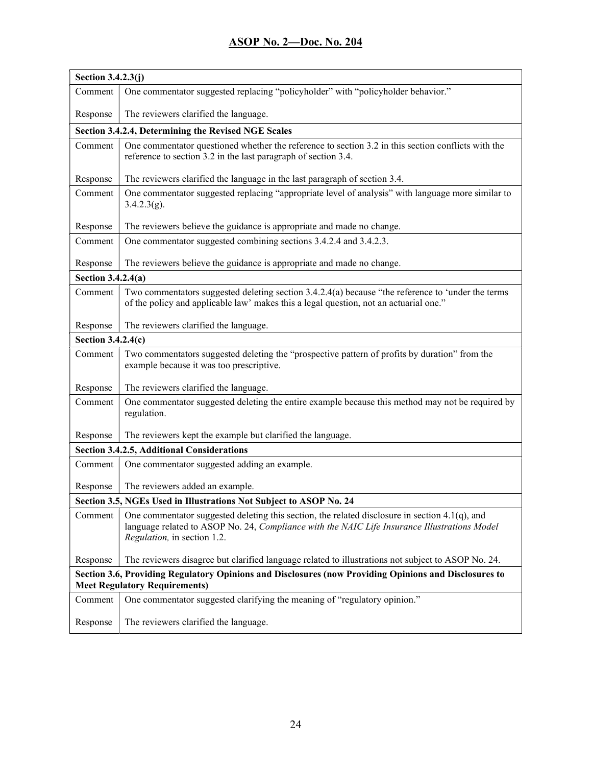| Section 3.4.2.3(j)                                                                                                                            |                                                                                                                                                                                                                                  |
|-----------------------------------------------------------------------------------------------------------------------------------------------|----------------------------------------------------------------------------------------------------------------------------------------------------------------------------------------------------------------------------------|
| Comment                                                                                                                                       | One commentator suggested replacing "policyholder" with "policyholder behavior."                                                                                                                                                 |
| Response                                                                                                                                      | The reviewers clarified the language.                                                                                                                                                                                            |
|                                                                                                                                               | Section 3.4.2.4, Determining the Revised NGE Scales                                                                                                                                                                              |
| Comment                                                                                                                                       | One commentator questioned whether the reference to section 3.2 in this section conflicts with the<br>reference to section 3.2 in the last paragraph of section 3.4.                                                             |
| Response                                                                                                                                      | The reviewers clarified the language in the last paragraph of section 3.4.                                                                                                                                                       |
| Comment                                                                                                                                       | One commentator suggested replacing "appropriate level of analysis" with language more similar to<br>3.4.2.3(g).                                                                                                                 |
| Response                                                                                                                                      | The reviewers believe the guidance is appropriate and made no change.                                                                                                                                                            |
| Comment                                                                                                                                       | One commentator suggested combining sections 3.4.2.4 and 3.4.2.3.                                                                                                                                                                |
| Response                                                                                                                                      | The reviewers believe the guidance is appropriate and made no change.                                                                                                                                                            |
| Section 3.4.2.4(a)                                                                                                                            |                                                                                                                                                                                                                                  |
| Comment                                                                                                                                       | Two commentators suggested deleting section $3.4.2.4(a)$ because "the reference to 'under the terms<br>of the policy and applicable law' makes this a legal question, not an actuarial one."                                     |
| Response                                                                                                                                      | The reviewers clarified the language.                                                                                                                                                                                            |
| Section 3.4.2.4(c)                                                                                                                            |                                                                                                                                                                                                                                  |
| Comment                                                                                                                                       | Two commentators suggested deleting the "prospective pattern of profits by duration" from the<br>example because it was too prescriptive.                                                                                        |
| Response                                                                                                                                      | The reviewers clarified the language.                                                                                                                                                                                            |
| Comment                                                                                                                                       | One commentator suggested deleting the entire example because this method may not be required by<br>regulation.                                                                                                                  |
| Response                                                                                                                                      | The reviewers kept the example but clarified the language.                                                                                                                                                                       |
|                                                                                                                                               | <b>Section 3.4.2.5, Additional Considerations</b>                                                                                                                                                                                |
| Comment                                                                                                                                       | One commentator suggested adding an example.                                                                                                                                                                                     |
| Response                                                                                                                                      | The reviewers added an example.                                                                                                                                                                                                  |
|                                                                                                                                               | Section 3.5, NGEs Used in Illustrations Not Subject to ASOP No. 24                                                                                                                                                               |
| Comment                                                                                                                                       | One commentator suggested deleting this section, the related disclosure in section $4.1(q)$ , and<br>language related to ASOP No. 24, Compliance with the NAIC Life Insurance Illustrations Model<br>Regulation, in section 1.2. |
| Response                                                                                                                                      | The reviewers disagree but clarified language related to illustrations not subject to ASOP No. 24.                                                                                                                               |
| Section 3.6, Providing Regulatory Opinions and Disclosures (now Providing Opinions and Disclosures to<br><b>Meet Regulatory Requirements)</b> |                                                                                                                                                                                                                                  |
| Comment                                                                                                                                       | One commentator suggested clarifying the meaning of "regulatory opinion."                                                                                                                                                        |
| Response                                                                                                                                      | The reviewers clarified the language.                                                                                                                                                                                            |